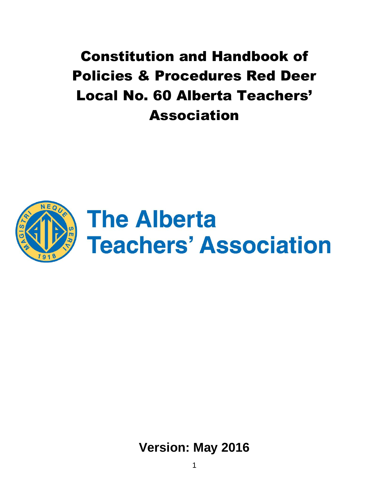Constitution and Handbook of Policies & Procedures Red Deer Local No. 60 Alberta Teachers' Association



**Version: May 2016**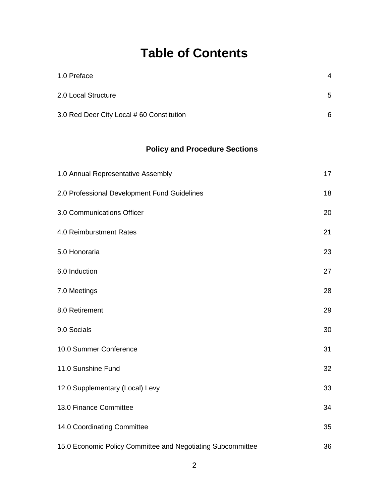# **Table of Contents**

| 1.0 Preface                               | 4 |
|-------------------------------------------|---|
| 2.0 Local Structure                       | 5 |
| 3.0 Red Deer City Local # 60 Constitution | 6 |

# **Policy and Procedure Sections**

| 1.0 Annual Representative Assembly                          | 17 |
|-------------------------------------------------------------|----|
| 2.0 Professional Development Fund Guidelines                | 18 |
| 3.0 Communications Officer                                  | 20 |
| 4.0 Reimburstment Rates                                     | 21 |
| 5.0 Honoraria                                               | 23 |
| 6.0 Induction                                               | 27 |
| 7.0 Meetings                                                | 28 |
| 8.0 Retirement                                              | 29 |
| 9.0 Socials                                                 | 30 |
| 10.0 Summer Conference                                      | 31 |
| 11.0 Sunshine Fund                                          | 32 |
| 12.0 Supplementary (Local) Levy                             | 33 |
| 13.0 Finance Committee                                      | 34 |
| 14.0 Coordinating Committee                                 | 35 |
| 15.0 Economic Policy Committee and Negotiating Subcommittee | 36 |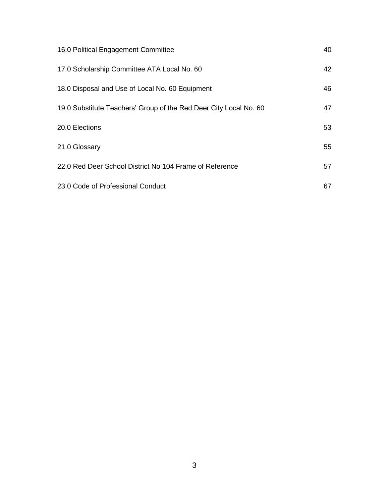| 16.0 Political Engagement Committee                               | 40 |
|-------------------------------------------------------------------|----|
| 17.0 Scholarship Committee ATA Local No. 60                       | 42 |
| 18.0 Disposal and Use of Local No. 60 Equipment                   | 46 |
| 19.0 Substitute Teachers' Group of the Red Deer City Local No. 60 | 47 |
| 20.0 Elections                                                    | 53 |
| 21.0 Glossary                                                     | 55 |
| 22.0 Red Deer School District No 104 Frame of Reference           | 57 |
| 23.0 Code of Professional Conduct                                 | 67 |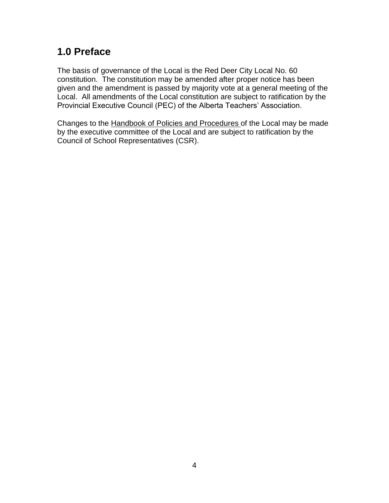# <span id="page-3-0"></span>**1.0 Preface**

The basis of governance of the Local is the Red Deer City Local No. 60 constitution. The constitution may be amended after proper notice has been given and the amendment is passed by majority vote at a general meeting of the Local. All amendments of the Local constitution are subject to ratification by the Provincial Executive Council (PEC) of the Alberta Teachers' Association.

Changes to the Handbook of Policies and Procedures of the Local may be made by the executive committee of the Local and are subject to ratification by the Council of School Representatives (CSR).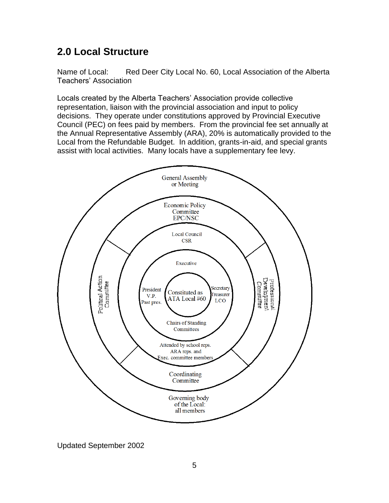# <span id="page-4-0"></span>**2.0 Local Structure**

Name of Local: Red Deer City Local No. 60, Local Association of the Alberta Teachers' Association

Locals created by the Alberta Teachers' Association provide collective representation, liaison with the provincial association and input to policy decisions. They operate under constitutions approved by Provincial Executive Council (PEC) on fees paid by members. From the provincial fee set annually at the Annual Representative Assembly (ARA), 20% is automatically provided to the Local from the Refundable Budget. In addition, grants-in-aid, and special grants assist with local activities. Many locals have a supplementary fee levy.



Updated September 2002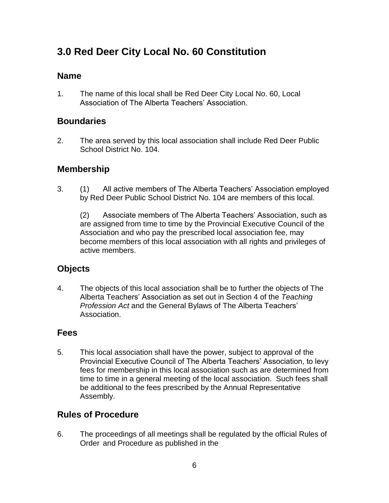# <span id="page-5-0"></span>**3.0 Red Deer City Local No. 60 Constitution**

### **Name**

1. The name of this local shall be Red Deer City Local No. 60, Local Association of The Alberta Teachers' Association.

### **Boundaries**

2. The area served by this local association shall include Red Deer Public School District No. 104.

### **Membership**

3. (1) All active members of The Alberta Teachers' Association employed by Red Deer Public School District No. 104 are members of this local.

(2) Associate members of The Alberta Teachers' Association, such as are assigned from time to time by the Provincial Executive Council of the Association and who pay the prescribed local association fee, may become members of this local association with all rights and privileges of active members.

### **Objects**

4. The objects of this local association shall be to further the objects of The Alberta Teachers' Association as set out in Section 4 of the *Teaching Profession Act* and the General Bylaws of The Alberta Teachers' Association.

### **Fees**

5. This local association shall have the power, subject to approval of the Provincial Executive Council of The Alberta Teachers' Association, to levy fees for membership in this local association such as are determined from time to time in a general meeting of the local association. Such fees shall be additional to the fees prescribed by the Annual Representative Assembly.

### **Rules of Procedure**

6. The proceedings of all meetings shall be regulated by the official Rules of Order and Procedure as published in the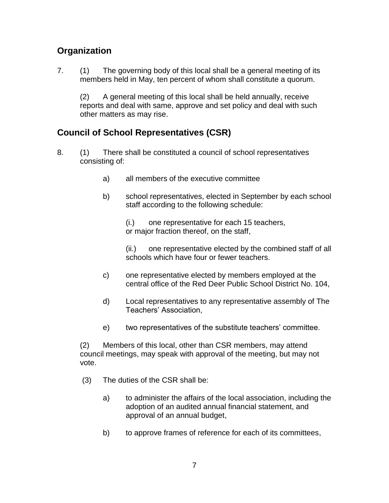### **Organization**

7. (1) The governing body of this local shall be a general meeting of its members held in May, ten percent of whom shall constitute a quorum.

(2) A general meeting of this local shall be held annually, receive reports and deal with same, approve and set policy and deal with such other matters as may rise.

### **Council of School Representatives (CSR)**

- 8. (1) There shall be constituted a council of school representatives consisting of:
	- a) all members of the executive committee
	- b) school representatives, elected in September by each school staff according to the following schedule:

(i.) one representative for each 15 teachers, or major fraction thereof, on the staff,

(ii.) one representative elected by the combined staff of all schools which have four or fewer teachers.

- c) one representative elected by members employed at the central office of the Red Deer Public School District No. 104,
- d) Local representatives to any representative assembly of The Teachers' Association,
- e) two representatives of the substitute teachers' committee.

(2) Members of this local, other than CSR members, may attend council meetings, may speak with approval of the meeting, but may not vote.

- (3) The duties of the CSR shall be:
	- a) to administer the affairs of the local association, including the adoption of an audited annual financial statement, and approval of an annual budget,
	- b) to approve frames of reference for each of its committees,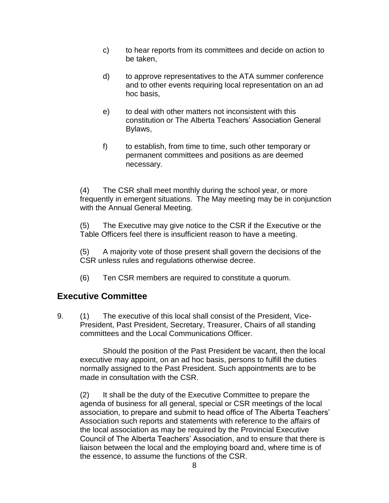- c) to hear reports from its committees and decide on action to be taken,
- d) to approve representatives to the ATA summer conference and to other events requiring local representation on an ad hoc basis,
- e) to deal with other matters not inconsistent with this constitution or The Alberta Teachers' Association General Bylaws,
- f) to establish, from time to time, such other temporary or permanent committees and positions as are deemed necessary.

(4) The CSR shall meet monthly during the school year, or more frequently in emergent situations. The May meeting may be in conjunction with the Annual General Meeting.

(5) The Executive may give notice to the CSR if the Executive or the Table Officers feel there is insufficient reason to have a meeting.

(5) A majority vote of those present shall govern the decisions of the CSR unless rules and regulations otherwise decree.

(6) Ten CSR members are required to constitute a quorum.

### **Executive Committee**

9. (1) The executive of this local shall consist of the President, Vice-President, Past President, Secretary, Treasurer, Chairs of all standing committees and the Local Communications Officer.

Should the position of the Past President be vacant, then the local executive may appoint, on an ad hoc basis, persons to fulfill the duties normally assigned to the Past President. Such appointments are to be made in consultation with the CSR.

(2) It shall be the duty of the Executive Committee to prepare the agenda of business for all general, special or CSR meetings of the local association, to prepare and submit to head office of The Alberta Teachers' Association such reports and statements with reference to the affairs of the local association as may be required by the Provincial Executive Council of The Alberta Teachers' Association, and to ensure that there is liaison between the local and the employing board and, where time is of the essence, to assume the functions of the CSR.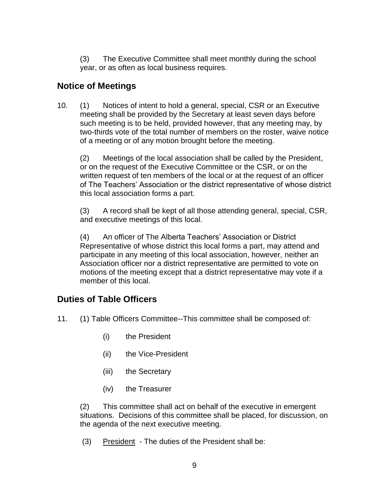(3) The Executive Committee shall meet monthly during the school year, or as often as local business requires.

### **Notice of Meetings**

10. (1) Notices of intent to hold a general, special, CSR or an Executive meeting shall be provided by the Secretary at least seven days before such meeting is to be held, provided however, that any meeting may, by two-thirds vote of the total number of members on the roster, waive notice of a meeting or of any motion brought before the meeting.

(2) Meetings of the local association shall be called by the President, or on the request of the Executive Committee or the CSR, or on the written request of ten members of the local or at the request of an officer of The Teachers' Association or the district representative of whose district this local association forms a part.

(3) A record shall be kept of all those attending general, special, CSR, and executive meetings of this local.

(4) An officer of The Alberta Teachers' Association or District Representative of whose district this local forms a part, may attend and participate in any meeting of this local association, however, neither an Association officer nor a district representative are permitted to vote on motions of the meeting except that a district representative may vote if a member of this local.

### **Duties of Table Officers**

- 11. (1) Table Officers Committee--This committee shall be composed of:
	- (i) the President
	- (ii) the Vice-President
	- (iii) the Secretary
	- (iv) the Treasurer

(2) This committee shall act on behalf of the executive in emergent situations. Decisions of this committee shall be placed, for discussion, on the agenda of the next executive meeting.

(3) President - The duties of the President shall be: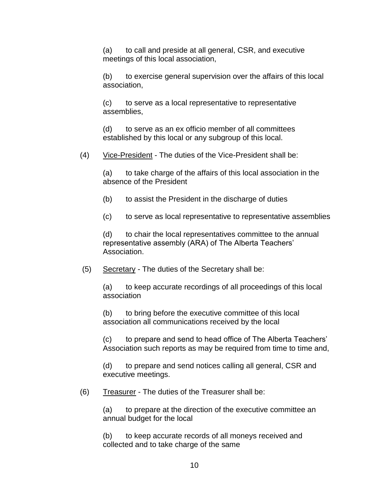(a) to call and preside at all general, CSR, and executive meetings of this local association,

(b) to exercise general supervision over the affairs of this local association,

(c) to serve as a local representative to representative assemblies,

(d) to serve as an ex officio member of all committees established by this local or any subgroup of this local.

(4) Vice-President - The duties of the Vice-President shall be:

(a) to take charge of the affairs of this local association in the absence of the President

(b) to assist the President in the discharge of duties

(c) to serve as local representative to representative assemblies

(d) to chair the local representatives committee to the annual representative assembly (ARA) of The Alberta Teachers' Association.

 $(5)$  Secretary - The duties of the Secretary shall be:

(a) to keep accurate recordings of all proceedings of this local association

(b) to bring before the executive committee of this local association all communications received by the local

(c) to prepare and send to head office of The Alberta Teachers' Association such reports as may be required from time to time and,

(d) to prepare and send notices calling all general, CSR and executive meetings.

(6) Treasurer - The duties of the Treasurer shall be:

(a) to prepare at the direction of the executive committee an annual budget for the local

(b) to keep accurate records of all moneys received and collected and to take charge of the same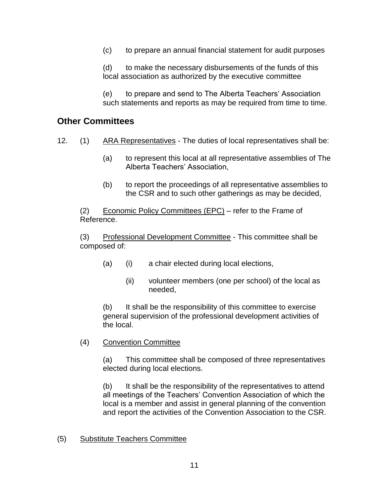(c) to prepare an annual financial statement for audit purposes

(d) to make the necessary disbursements of the funds of this local association as authorized by the executive committee

(e) to prepare and send to The Alberta Teachers' Association such statements and reports as may be required from time to time.

### **Other Committees**

- 12. (1) ARA Representatives The duties of local representatives shall be:
	- (a) to represent this local at all representative assemblies of The Alberta Teachers' Association,
	- (b) to report the proceedings of all representative assemblies to the CSR and to such other gatherings as may be decided,

(2) Economic Policy Committees (EPC) – refer to the Frame of Reference.

(3) Professional Development Committee - This committee shall be composed of:

- (a) (i) a chair elected during local elections,
	- (ii) volunteer members (one per school) of the local as needed,

(b) It shall be the responsibility of this committee to exercise general supervision of the professional development activities of the local.

(4) Convention Committee

(a) This committee shall be composed of three representatives elected during local elections.

(b) It shall be the responsibility of the representatives to attend all meetings of the Teachers' Convention Association of which the local is a member and assist in general planning of the convention and report the activities of the Convention Association to the CSR.

#### (5) Substitute Teachers Committee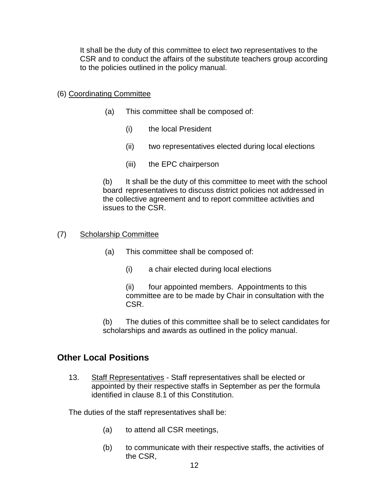It shall be the duty of this committee to elect two representatives to the CSR and to conduct the affairs of the substitute teachers group according to the policies outlined in the policy manual.

#### (6) Coordinating Committee

- (a) This committee shall be composed of:
	- (i) the local President
	- (ii) two representatives elected during local elections
	- (iii) the EPC chairperson

(b) It shall be the duty of this committee to meet with the school board representatives to discuss district policies not addressed in the collective agreement and to report committee activities and issues to the CSR.

#### (7) Scholarship Committee

- (a) This committee shall be composed of:
	- (i) a chair elected during local elections

(ii) four appointed members. Appointments to this committee are to be made by Chair in consultation with the CSR.

(b) The duties of this committee shall be to select candidates for scholarships and awards as outlined in the policy manual.

### **Other Local Positions**

13. Staff Representatives - Staff representatives shall be elected or appointed by their respective staffs in September as per the formula identified in clause 8.1 of this Constitution.

The duties of the staff representatives shall be:

- (a) to attend all CSR meetings,
- (b) to communicate with their respective staffs, the activities of the CSR,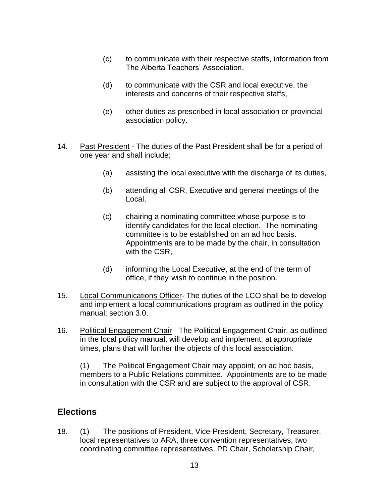- (c) to communicate with their respective staffs, information from The Alberta Teachers' Association,
- (d) to communicate with the CSR and local executive, the interests and concerns of their respective staffs,
- (e) other duties as prescribed in local association or provincial association policy.
- 14. Past President The duties of the Past President shall be for a period of one year and shall include:
	- (a) assisting the local executive with the discharge of its duties,
	- (b) attending all CSR, Executive and general meetings of the Local,
	- (c) chairing a nominating committee whose purpose is to identify candidates for the local election. The nominating committee is to be established on an ad hoc basis. Appointments are to be made by the chair, in consultation with the CSR,
	- (d) informing the Local Executive, at the end of the term of office, if they wish to continue in the position.
- 15. Local Communications Officer- The duties of the LCO shall be to develop and implement a local communications program as outlined in the policy manual; section 3.0.
- 16. Political Engagement Chair The Political Engagement Chair, as outlined in the local policy manual, will develop and implement, at appropriate times, plans that will further the objects of this local association.

(1) The Political Engagement Chair may appoint, on ad hoc basis, members to a Public Relations committee. Appointments are to be made in consultation with the CSR and are subject to the approval of CSR.

### **Elections**

18. (1) The positions of President, Vice-President, Secretary, Treasurer, local representatives to ARA, three convention representatives, two coordinating committee representatives, PD Chair, Scholarship Chair,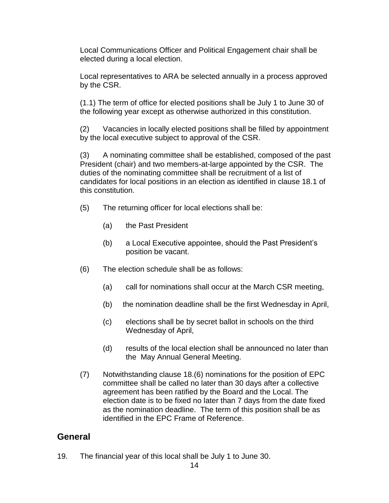Local Communications Officer and Political Engagement chair shall be elected during a local election.

Local representatives to ARA be selected annually in a process approved by the CSR.

(1.1) The term of office for elected positions shall be July 1 to June 30 of the following year except as otherwise authorized in this constitution.

(2) Vacancies in locally elected positions shall be filled by appointment by the local executive subject to approval of the CSR.

(3) A nominating committee shall be established, composed of the past President (chair) and two members-at-large appointed by the CSR. The duties of the nominating committee shall be recruitment of a list of candidates for local positions in an election as identified in clause 18.1 of this constitution.

- (5) The returning officer for local elections shall be:
	- (a) the Past President
	- (b) a Local Executive appointee, should the Past President's position be vacant.
- (6) The election schedule shall be as follows:
	- (a) call for nominations shall occur at the March CSR meeting,
	- (b) the nomination deadline shall be the first Wednesday in April,
	- (c) elections shall be by secret ballot in schools on the third Wednesday of April,
	- (d) results of the local election shall be announced no later than the May Annual General Meeting.
- (7) Notwithstanding clause 18.(6) nominations for the position of EPC committee shall be called no later than 30 days after a collective agreement has been ratified by the Board and the Local. The election date is to be fixed no later than 7 days from the date fixed as the nomination deadline. The term of this position shall be as identified in the EPC Frame of Reference.

### **General**

19. The financial year of this local shall be July 1 to June 30.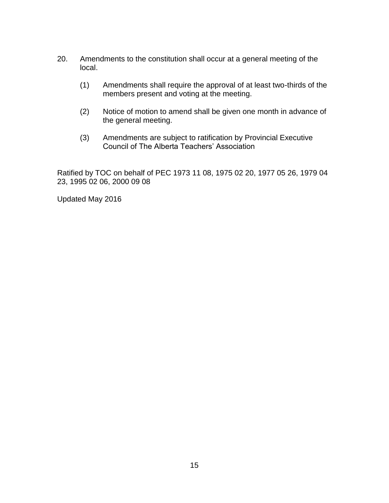- 20. Amendments to the constitution shall occur at a general meeting of the local.
	- (1) Amendments shall require the approval of at least two-thirds of the members present and voting at the meeting.
	- (2) Notice of motion to amend shall be given one month in advance of the general meeting.
	- (3) Amendments are subject to ratification by Provincial Executive Council of The Alberta Teachers' Association

Ratified by TOC on behalf of PEC 1973 11 08, 1975 02 20, 1977 05 26, 1979 04 23, 1995 02 06, 2000 09 08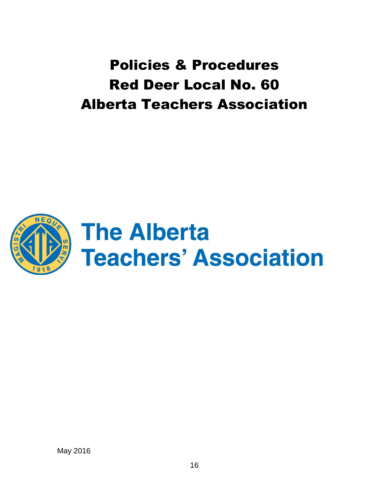Policies & Procedures Red Deer Local No. 60 Alberta Teachers Association

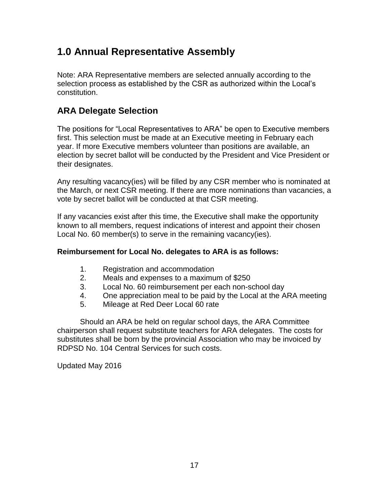# <span id="page-16-0"></span>**1.0 Annual Representative Assembly**

Note: ARA Representative members are selected annually according to the selection process as established by the CSR as authorized within the Local's constitution.

# **ARA Delegate Selection**

The positions for "Local Representatives to ARA" be open to Executive members first. This selection must be made at an Executive meeting in February each year. If more Executive members volunteer than positions are available, an election by secret ballot will be conducted by the President and Vice President or their designates.

Any resulting vacancy(ies) will be filled by any CSR member who is nominated at the March, or next CSR meeting. If there are more nominations than vacancies, a vote by secret ballot will be conducted at that CSR meeting.

If any vacancies exist after this time, the Executive shall make the opportunity known to all members, request indications of interest and appoint their chosen Local No. 60 member(s) to serve in the remaining vacancy(ies).

### **Reimbursement for Local No. delegates to ARA is as follows:**

- 1. Registration and accommodation
- 2. Meals and expenses to a maximum of \$250
- 3. Local No. 60 reimbursement per each non-school day
- 4. One appreciation meal to be paid by the Local at the ARA meeting
- 5. Mileage at Red Deer Local 60 rate

Should an ARA be held on regular school days, the ARA Committee chairperson shall request substitute teachers for ARA delegates. The costs for substitutes shall be born by the provincial Association who may be invoiced by RDPSD No. 104 Central Services for such costs.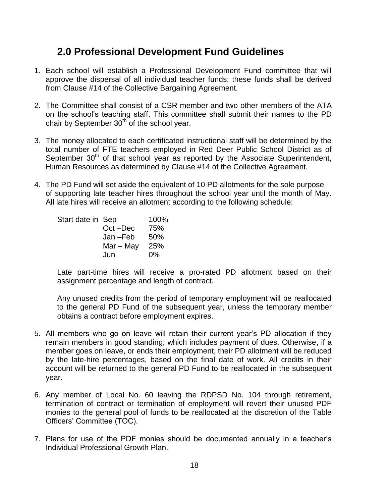# <span id="page-17-0"></span>**2.0 Professional Development Fund Guidelines**

- 1. Each school will establish a Professional Development Fund committee that will approve the dispersal of all individual teacher funds; these funds shall be derived from Clause #14 of the Collective Bargaining Agreement.
- 2. The Committee shall consist of a CSR member and two other members of the ATA on the school's teaching staff. This committee shall submit their names to the PD chair by September  $30<sup>th</sup>$  of the school year.
- 3. The money allocated to each certificated instructional staff will be determined by the total number of FTE teachers employed in Red Deer Public School District as of September 30<sup>th</sup> of that school year as reported by the Associate Superintendent, Human Resources as determined by Clause #14 of the Collective Agreement.
- 4. The PD Fund will set aside the equivalent of 10 PD allotments for the sole purpose of supporting late teacher hires throughout the school year until the month of May. All late hires will receive an allotment according to the following schedule:

| Start date in Sep |             | 100%  |
|-------------------|-------------|-------|
|                   | Oct-Dec     | 75%   |
|                   | $Jan - Feb$ | 50%   |
|                   | $Mar - May$ | 25%   |
|                   | Jun         | $0\%$ |
|                   |             |       |

Late part-time hires will receive a pro-rated PD allotment based on their assignment percentage and length of contract.

Any unused credits from the period of temporary employment will be reallocated to the general PD Fund of the subsequent year, unless the temporary member obtains a contract before employment expires.

- 5. All members who go on leave will retain their current year's PD allocation if they remain members in good standing, which includes payment of dues. Otherwise, if a member goes on leave, or ends their employment, their PD allotment will be reduced by the late-hire percentages, based on the final date of work. All credits in their account will be returned to the general PD Fund to be reallocated in the subsequent year.
- 6. Any member of Local No. 60 leaving the RDPSD No. 104 through retirement, termination of contract or termination of employment will revert their unused PDF monies to the general pool of funds to be reallocated at the discretion of the Table Officers' Committee (TOC).
- 7. Plans for use of the PDF monies should be documented annually in a teacher's Individual Professional Growth Plan.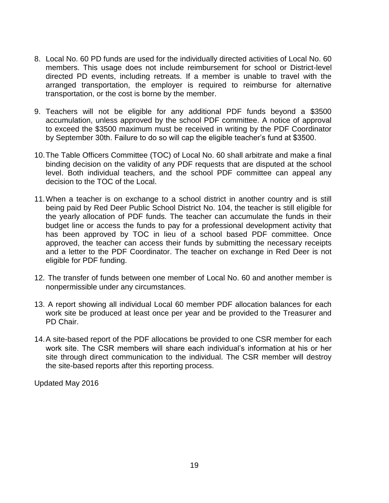- 8. Local No. 60 PD funds are used for the individually directed activities of Local No. 60 members. This usage does not include reimbursement for school or District-level directed PD events, including retreats. If a member is unable to travel with the arranged transportation, the employer is required to reimburse for alternative transportation, or the cost is borne by the member.
- 9. Teachers will not be eligible for any additional PDF funds beyond a \$3500 accumulation, unless approved by the school PDF committee. A notice of approval to exceed the \$3500 maximum must be received in writing by the PDF Coordinator by September 30th. Failure to do so will cap the eligible teacher's fund at \$3500.
- 10.The Table Officers Committee (TOC) of Local No. 60 shall arbitrate and make a final binding decision on the validity of any PDF requests that are disputed at the school level. Both individual teachers, and the school PDF committee can appeal any decision to the TOC of the Local.
- 11.When a teacher is on exchange to a school district in another country and is still being paid by Red Deer Public School District No. 104, the teacher is still eligible for the yearly allocation of PDF funds. The teacher can accumulate the funds in their budget line or access the funds to pay for a professional development activity that has been approved by TOC in lieu of a school based PDF committee. Once approved, the teacher can access their funds by submitting the necessary receipts and a letter to the PDF Coordinator. The teacher on exchange in Red Deer is not eligible for PDF funding.
- 12. The transfer of funds between one member of Local No. 60 and another member is nonpermissible under any circumstances.
- 13. A report showing all individual Local 60 member PDF allocation balances for each work site be produced at least once per year and be provided to the Treasurer and PD Chair.
- 14.A site-based report of the PDF allocations be provided to one CSR member for each work site. The CSR members will share each individual's information at his or her site through direct communication to the individual. The CSR member will destroy the site-based reports after this reporting process.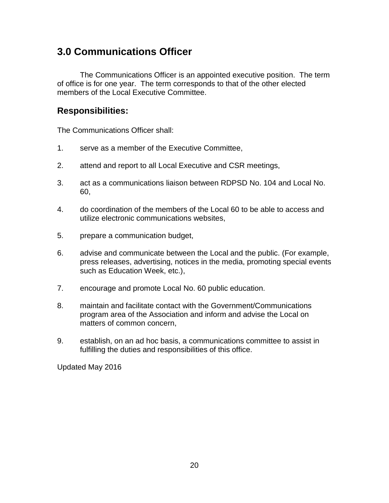# <span id="page-19-0"></span>**3.0 Communications Officer**

The Communications Officer is an appointed executive position. The term of office is for one year. The term corresponds to that of the other elected members of the Local Executive Committee.

### **Responsibilities:**

The Communications Officer shall:

- 1. serve as a member of the Executive Committee,
- 2. attend and report to all Local Executive and CSR meetings,
- 3. act as a communications liaison between RDPSD No. 104 and Local No. 60,
- 4. do coordination of the members of the Local 60 to be able to access and utilize electronic communications websites,
- 5. prepare a communication budget,
- 6. advise and communicate between the Local and the public. (For example, press releases, advertising, notices in the media, promoting special events such as Education Week, etc.),
- 7. encourage and promote Local No. 60 public education.
- 8. maintain and facilitate contact with the Government/Communications program area of the Association and inform and advise the Local on matters of common concern,
- 9. establish, on an ad hoc basis, a communications committee to assist in fulfilling the duties and responsibilities of this office.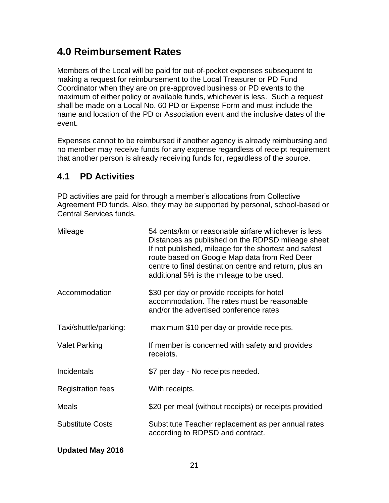# <span id="page-20-0"></span>**4.0 Reimbursement Rates**

Members of the Local will be paid for out-of-pocket expenses subsequent to making a request for reimbursement to the Local Treasurer or PD Fund Coordinator when they are on pre-approved business or PD events to the maximum of either policy or available funds, whichever is less. Such a request shall be made on a Local No. 60 PD or Expense Form and must include the name and location of the PD or Association event and the inclusive dates of the event.

Expenses cannot to be reimbursed if another agency is already reimbursing and no member may receive funds for any expense regardless of receipt requirement that another person is already receiving funds for, regardless of the source.

### **4.1 PD Activities**

PD activities are paid for through a member's allocations from Collective Agreement PD funds. Also, they may be supported by personal, school-based or Central Services funds.

| Mileage                  | 54 cents/km or reasonable airfare whichever is less<br>Distances as published on the RDPSD mileage sheet<br>If not published, mileage for the shortest and safest<br>route based on Google Map data from Red Deer<br>centre to final destination centre and return, plus an<br>additional 5% is the mileage to be used. |
|--------------------------|-------------------------------------------------------------------------------------------------------------------------------------------------------------------------------------------------------------------------------------------------------------------------------------------------------------------------|
| Accommodation            | \$30 per day or provide receipts for hotel<br>accommodation. The rates must be reasonable<br>and/or the advertised conference rates                                                                                                                                                                                     |
| Taxi/shuttle/parking:    | maximum \$10 per day or provide receipts.                                                                                                                                                                                                                                                                               |
| <b>Valet Parking</b>     | If member is concerned with safety and provides<br>receipts.                                                                                                                                                                                                                                                            |
| Incidentals              | \$7 per day - No receipts needed.                                                                                                                                                                                                                                                                                       |
| <b>Registration fees</b> | With receipts.                                                                                                                                                                                                                                                                                                          |
| <b>Meals</b>             | \$20 per meal (without receipts) or receipts provided                                                                                                                                                                                                                                                                   |
| <b>Substitute Costs</b>  | Substitute Teacher replacement as per annual rates<br>according to RDPSD and contract.                                                                                                                                                                                                                                  |
| <b>Updated May 2016</b>  |                                                                                                                                                                                                                                                                                                                         |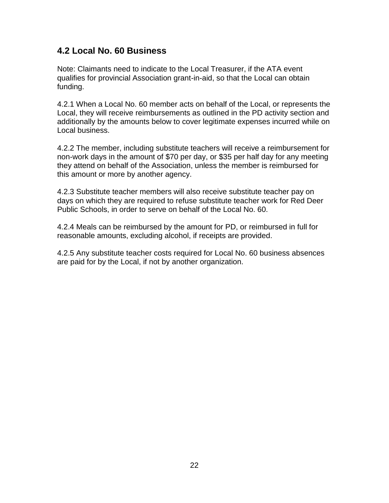### <span id="page-21-0"></span>**4.2 Local No. 60 Business**

Note: Claimants need to indicate to the Local Treasurer, if the ATA event qualifies for provincial Association grant-in-aid, so that the Local can obtain funding.

4.2.1 When a Local No. 60 member acts on behalf of the Local, or represents the Local, they will receive reimbursements as outlined in the PD activity section and additionally by the amounts below to cover legitimate expenses incurred while on Local business.

4.2.2 The member, including substitute teachers will receive a reimbursement for non-work days in the amount of \$70 per day, or \$35 per half day for any meeting they attend on behalf of the Association, unless the member is reimbursed for this amount or more by another agency.

4.2.3 Substitute teacher members will also receive substitute teacher pay on days on which they are required to refuse substitute teacher work for Red Deer Public Schools, in order to serve on behalf of the Local No. 60.

4.2.4 Meals can be reimbursed by the amount for PD, or reimbursed in full for reasonable amounts, excluding alcohol, if receipts are provided.

4.2.5 Any substitute teacher costs required for Local No. 60 business absences are paid for by the Local, if not by another organization.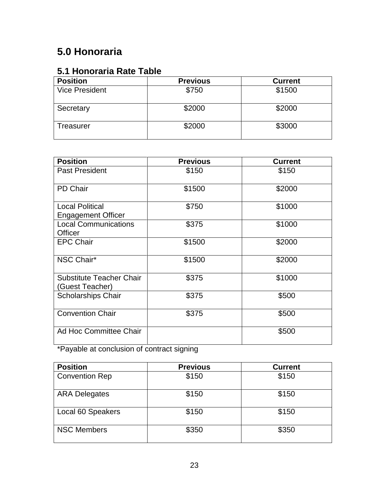# **5.0 Honoraria**

# **5.1 Honoraria Rate Table**

| <b>Position</b>       | <b>Previous</b> | <b>Current</b> |
|-----------------------|-----------------|----------------|
| <b>Vice President</b> | \$750           | \$1500         |
| Secretary             | \$2000          | \$2000         |
| Treasurer             | \$2000          | \$3000         |

| <b>Position</b>                                     | <b>Previous</b> | <b>Current</b> |
|-----------------------------------------------------|-----------------|----------------|
| <b>Past President</b>                               | \$150           | \$150          |
| <b>PD Chair</b>                                     | \$1500          | \$2000         |
| <b>Local Political</b><br><b>Engagement Officer</b> | \$750           | \$1000         |
| <b>Local Communications</b><br>Officer              | \$375           | \$1000         |
| <b>EPC Chair</b>                                    | \$1500          | \$2000         |
| NSC Chair*                                          | \$1500          | \$2000         |
| Substitute Teacher Chair<br>(Guest Teacher)         | \$375           | \$1000         |
| <b>Scholarships Chair</b>                           | \$375           | \$500          |
| <b>Convention Chair</b>                             | \$375           | \$500          |
| Ad Hoc Committee Chair                              |                 | \$500          |

\*Payable at conclusion of contract signing

| <b>Position</b>       | <b>Previous</b> | <b>Current</b> |
|-----------------------|-----------------|----------------|
| <b>Convention Rep</b> | \$150           | \$150          |
| <b>ARA Delegates</b>  | \$150           | \$150          |
| Local 60 Speakers     | \$150           | \$150          |
| <b>NSC Members</b>    | \$350           | \$350          |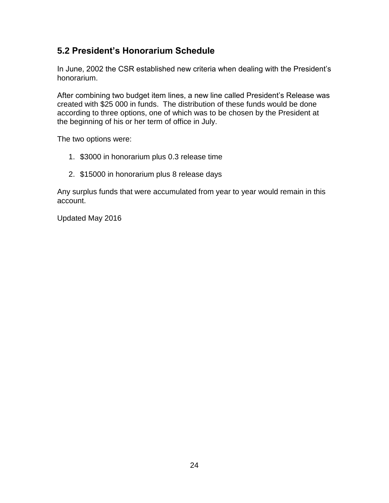### **5.2 President's Honorarium Schedule**

In June, 2002 the CSR established new criteria when dealing with the President's honorarium.

After combining two budget item lines, a new line called President's Release was created with \$25 000 in funds. The distribution of these funds would be done according to three options, one of which was to be chosen by the President at the beginning of his or her term of office in July.

The two options were:

- 1. \$3000 in honorarium plus 0.3 release time
- <span id="page-23-0"></span>2. \$15000 in honorarium plus 8 release days

Any surplus funds that were accumulated from year to year would remain in this account.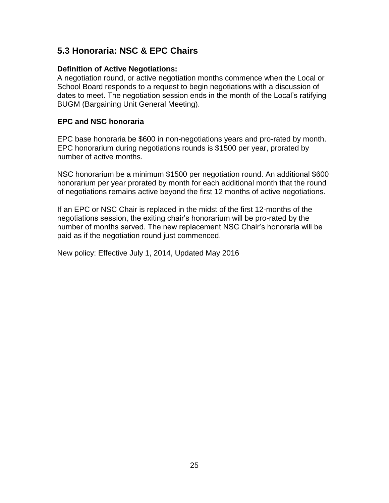### **5.3 Honoraria: NSC & EPC Chairs**

#### **Definition of Active Negotiations:**

A negotiation round, or active negotiation months commence when the Local or School Board responds to a request to begin negotiations with a discussion of dates to meet. The negotiation session ends in the month of the Local's ratifying BUGM (Bargaining Unit General Meeting).

#### **EPC and NSC honoraria**

EPC base honoraria be \$600 in non-negotiations years and pro-rated by month. EPC honorarium during negotiations rounds is \$1500 per year, prorated by number of active months.

NSC honorarium be a minimum \$1500 per negotiation round. An additional \$600 honorarium per year prorated by month for each additional month that the round of negotiations remains active beyond the first 12 months of active negotiations.

If an EPC or NSC Chair is replaced in the midst of the first 12-months of the negotiations session, the exiting chair's honorarium will be pro-rated by the number of months served. The new replacement NSC Chair's honoraria will be paid as if the negotiation round just commenced.

New policy: Effective July 1, 2014, Updated May 2016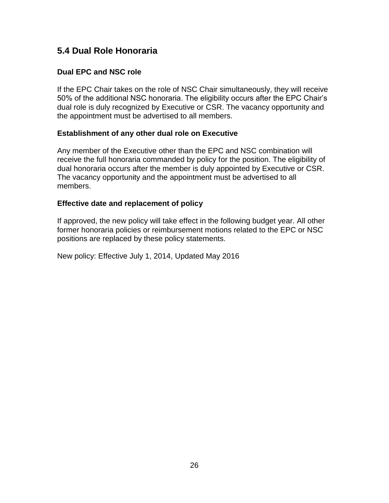### **5.4 Dual Role Honoraria**

### **Dual EPC and NSC role**

If the EPC Chair takes on the role of NSC Chair simultaneously, they will receive 50% of the additional NSC honoraria. The eligibility occurs after the EPC Chair's dual role is duly recognized by Executive or CSR. The vacancy opportunity and the appointment must be advertised to all members.

### **Establishment of any other dual role on Executive**

Any member of the Executive other than the EPC and NSC combination will receive the full honoraria commanded by policy for the position. The eligibility of dual honoraria occurs after the member is duly appointed by Executive or CSR. The vacancy opportunity and the appointment must be advertised to all members.

#### **Effective date and replacement of policy**

If approved, the new policy will take effect in the following budget year. All other former honoraria policies or reimbursement motions related to the EPC or NSC positions are replaced by these policy statements.

New policy: Effective July 1, 2014, Updated May 2016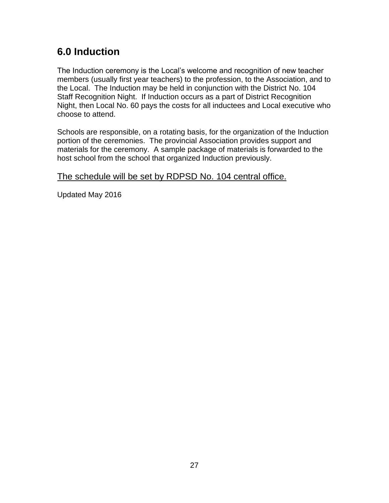# **6.0 Induction**

The Induction ceremony is the Local's welcome and recognition of new teacher members (usually first year teachers) to the profession, to the Association, and to the Local. The Induction may be held in conjunction with the District No. 104 Staff Recognition Night. If Induction occurs as a part of District Recognition Night, then Local No. 60 pays the costs for all inductees and Local executive who choose to attend.

Schools are responsible, on a rotating basis, for the organization of the Induction portion of the ceremonies. The provincial Association provides support and materials for the ceremony. A sample package of materials is forwarded to the host school from the school that organized Induction previously.

The schedule will be set by RDPSD No. 104 central office.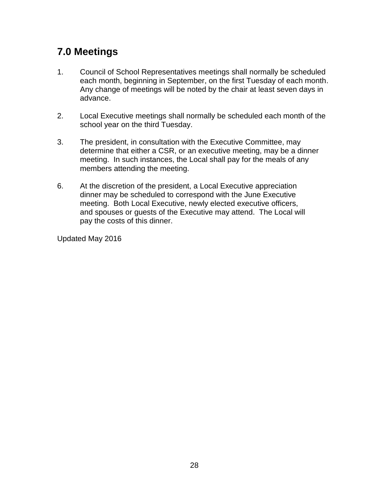# <span id="page-27-0"></span>**7.0 Meetings**

- 1. Council of School Representatives meetings shall normally be scheduled each month, beginning in September, on the first Tuesday of each month. Any change of meetings will be noted by the chair at least seven days in advance.
- 2. Local Executive meetings shall normally be scheduled each month of the school year on the third Tuesday.
- 3. The president, in consultation with the Executive Committee, may determine that either a CSR, or an executive meeting, may be a dinner meeting. In such instances, the Local shall pay for the meals of any members attending the meeting.
- 6. At the discretion of the president, a Local Executive appreciation dinner may be scheduled to correspond with the June Executive meeting. Both Local Executive, newly elected executive officers, and spouses or guests of the Executive may attend. The Local will pay the costs of this dinner.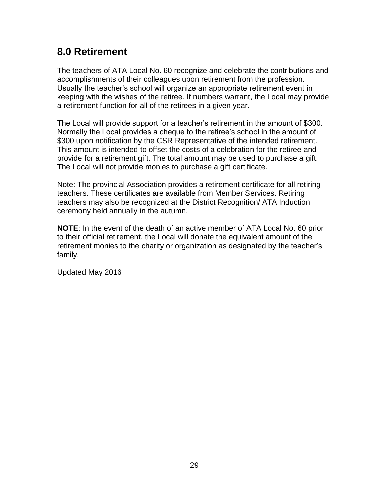# <span id="page-28-0"></span>**8.0 Retirement**

The teachers of ATA Local No. 60 recognize and celebrate the contributions and accomplishments of their colleagues upon retirement from the profession. Usually the teacher's school will organize an appropriate retirement event in keeping with the wishes of the retiree. If numbers warrant, the Local may provide a retirement function for all of the retirees in a given year.

The Local will provide support for a teacher's retirement in the amount of \$300. Normally the Local provides a cheque to the retiree's school in the amount of \$300 upon notification by the CSR Representative of the intended retirement. This amount is intended to offset the costs of a celebration for the retiree and provide for a retirement gift. The total amount may be used to purchase a gift. The Local will not provide monies to purchase a gift certificate.

Note: The provincial Association provides a retirement certificate for all retiring teachers. These certificates are available from Member Services. Retiring teachers may also be recognized at the District Recognition/ ATA Induction ceremony held annually in the autumn.

**NOTE**: In the event of the death of an active member of ATA Local No. 60 prior to their official retirement, the Local will donate the equivalent amount of the retirement monies to the charity or organization as designated by the teacher's family.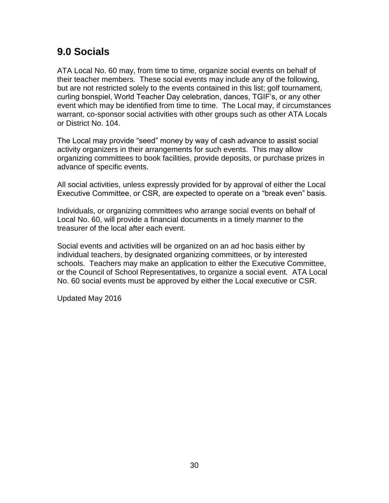# <span id="page-29-0"></span>**9.0 Socials**

ATA Local No. 60 may, from time to time, organize social events on behalf of their teacher members. These social events may include any of the following, but are not restricted solely to the events contained in this list; golf tournament, curling bonspiel, World Teacher Day celebration, dances, TGIF's, or any other event which may be identified from time to time. The Local may, if circumstances warrant, co-sponsor social activities with other groups such as other ATA Locals or District No. 104.

The Local may provide "seed" money by way of cash advance to assist social activity organizers in their arrangements for such events. This may allow organizing committees to book facilities, provide deposits, or purchase prizes in advance of specific events.

All social activities, unless expressly provided for by approval of either the Local Executive Committee, or CSR, are expected to operate on a "break even" basis.

Individuals, or organizing committees who arrange social events on behalf of Local No. 60, will provide a financial documents in a timely manner to the treasurer of the local after each event.

Social events and activities will be organized on an ad hoc basis either by individual teachers, by designated organizing committees, or by interested schools. Teachers may make an application to either the Executive Committee, or the Council of School Representatives, to organize a social event. ATA Local No. 60 social events must be approved by either the Local executive or CSR.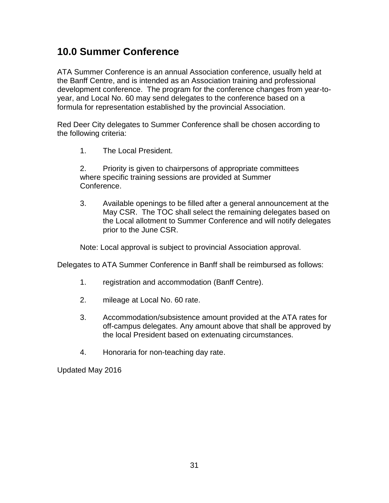# <span id="page-30-0"></span>**10.0 Summer Conference**

ATA Summer Conference is an annual Association conference, usually held at the Banff Centre, and is intended as an Association training and professional development conference. The program for the conference changes from year-toyear, and Local No. 60 may send delegates to the conference based on a formula for representation established by the provincial Association.

Red Deer City delegates to Summer Conference shall be chosen according to the following criteria:

1. The Local President.

2. Priority is given to chairpersons of appropriate committees where specific training sessions are provided at Summer Conference.

3. Available openings to be filled after a general announcement at the May CSR. The TOC shall select the remaining delegates based on the Local allotment to Summer Conference and will notify delegates prior to the June CSR.

Note: Local approval is subject to provincial Association approval.

Delegates to ATA Summer Conference in Banff shall be reimbursed as follows:

- 1. registration and accommodation (Banff Centre).
- 2. mileage at Local No. 60 rate.
- 3. Accommodation/subsistence amount provided at the ATA rates for off-campus delegates. Any amount above that shall be approved by the local President based on extenuating circumstances.
- 4. Honoraria for non-teaching day rate.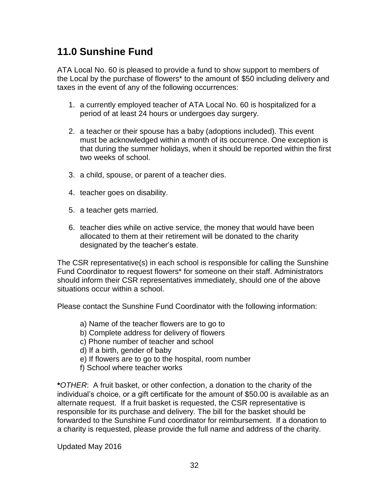# <span id="page-31-0"></span>**11.0 Sunshine Fund**

ATA Local No. 60 is pleased to provide a fund to show support to members of the Local by the purchase of flowers\* to the amount of \$50 including delivery and taxes in the event of any of the following occurrences:

- 1. a currently employed teacher of ATA Local No. 60 is hospitalized for a period of at least 24 hours or undergoes day surgery.
- 2. a teacher or their spouse has a baby (adoptions included). This event must be acknowledged within a month of its occurrence. One exception is that during the summer holidays, when it should be reported within the first two weeks of school.
- 3. a child, spouse, or parent of a teacher dies.
- 4. teacher goes on disability.
- 5. a teacher gets married.
- 6. teacher dies while on active service, the money that would have been allocated to them at their retirement will be donated to the charity designated by the teacher's estate.

The CSR representative(s) in each school is responsible for calling the Sunshine Fund Coordinator to request flowers\* for someone on their staff. Administrators should inform their CSR representatives immediately, should one of the above situations occur within a school.

Please contact the Sunshine Fund Coordinator with the following information:

- a) Name of the teacher flowers are to go to
- b) Complete address for delivery of flowers
- c) Phone number of teacher and school
- d) If a birth, gender of baby
- e) If flowers are to go to the hospital, room number
- f) School where teacher works

**\****OTHER*: A fruit basket, or other confection, a donation to the charity of the individual's choice, or a gift certificate for the amount of \$50.00 is available as an alternate request. If a fruit basket is requested, the CSR representative is responsible for its purchase and delivery. The bill for the basket should be forwarded to the Sunshine Fund coordinator for reimbursement. If a donation to a charity is requested, please provide the full name and address of the charity.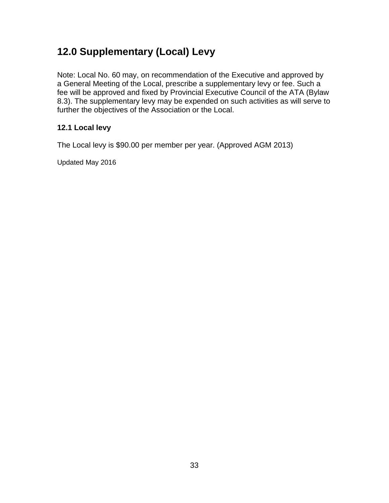# <span id="page-32-0"></span>**12.0 Supplementary (Local) Levy**

Note: Local No. 60 may, on recommendation of the Executive and approved by a General Meeting of the Local, prescribe a supplementary levy or fee. Such a fee will be approved and fixed by Provincial Executive Council of the ATA (Bylaw 8.3). The supplementary levy may be expended on such activities as will serve to further the objectives of the Association or the Local.

### **12.1 Local levy**

The Local levy is \$90.00 per member per year. (Approved AGM 2013)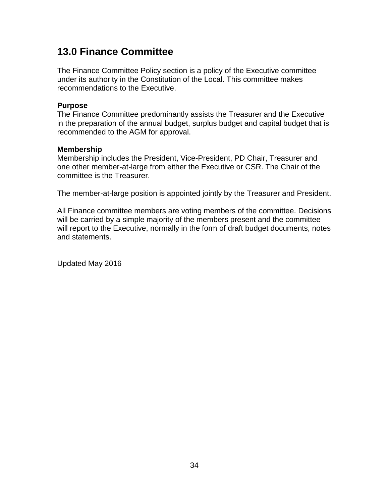# <span id="page-33-0"></span>**13.0 Finance Committee**

The Finance Committee Policy section is a policy of the Executive committee under its authority in the Constitution of the Local. This committee makes recommendations to the Executive.

#### **Purpose**

The Finance Committee predominantly assists the Treasurer and the Executive in the preparation of the annual budget, surplus budget and capital budget that is recommended to the AGM for approval.

#### **Membership**

Membership includes the President, Vice-President, PD Chair, Treasurer and one other member-at-large from either the Executive or CSR. The Chair of the committee is the Treasurer.

The member-at-large position is appointed jointly by the Treasurer and President.

All Finance committee members are voting members of the committee. Decisions will be carried by a simple majority of the members present and the committee will report to the Executive, normally in the form of draft budget documents, notes and statements.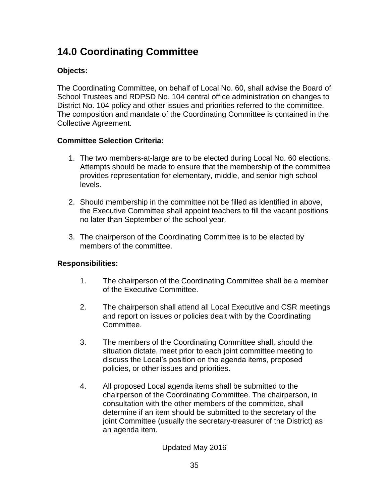# **14.0 Coordinating Committee**

### **Objects:**

The Coordinating Committee, on behalf of Local No. 60, shall advise the Board of School Trustees and RDPSD No. 104 central office administration on changes to District No. 104 policy and other issues and priorities referred to the committee. The composition and mandate of the Coordinating Committee is contained in the Collective Agreement.

### **Committee Selection Criteria:**

- 1. The two members-at-large are to be elected during Local No. 60 elections. Attempts should be made to ensure that the membership of the committee provides representation for elementary, middle, and senior high school levels.
- 2. Should membership in the committee not be filled as identified in above, the Executive Committee shall appoint teachers to fill the vacant positions no later than September of the school year.
- 3. The chairperson of the Coordinating Committee is to be elected by members of the committee.

### **Responsibilities:**

- 1. The chairperson of the Coordinating Committee shall be a member of the Executive Committee.
- 2. The chairperson shall attend all Local Executive and CSR meetings and report on issues or policies dealt with by the Coordinating Committee.
- 3. The members of the Coordinating Committee shall, should the situation dictate, meet prior to each joint committee meeting to discuss the Local's position on the agenda items, proposed policies, or other issues and priorities.
- 4. All proposed Local agenda items shall be submitted to the chairperson of the Coordinating Committee. The chairperson, in consultation with the other members of the committee, shall determine if an item should be submitted to the secretary of the joint Committee (usually the secretary-treasurer of the District) as an agenda item.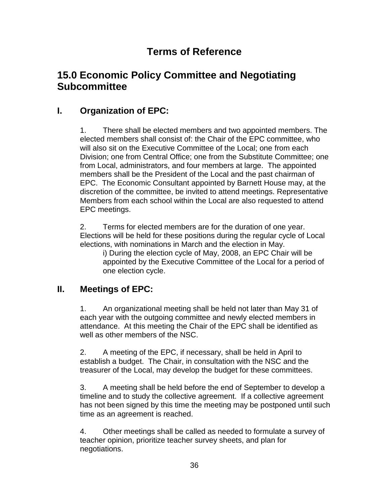# **Terms of Reference**

# <span id="page-35-0"></span>**15.0 Economic Policy Committee and Negotiating Subcommittee**

### **I. Organization of EPC:**

1. There shall be elected members and two appointed members. The elected members shall consist of: the Chair of the EPC committee, who will also sit on the Executive Committee of the Local; one from each Division; one from Central Office; one from the Substitute Committee; one from Local, administrators, and four members at large. The appointed members shall be the President of the Local and the past chairman of EPC. The Economic Consultant appointed by Barnett House may, at the discretion of the committee, be invited to attend meetings. Representative Members from each school within the Local are also requested to attend EPC meetings.

2. Terms for elected members are for the duration of one year. Elections will be held for these positions during the regular cycle of Local elections, with nominations in March and the election in May.

i) During the election cycle of May, 2008, an EPC Chair will be appointed by the Executive Committee of the Local for a period of one election cycle.

### **II. Meetings of EPC:**

1. An organizational meeting shall be held not later than May 31 of each year with the outgoing committee and newly elected members in attendance. At this meeting the Chair of the EPC shall be identified as well as other members of the NSC.

2. A meeting of the EPC, if necessary, shall be held in April to establish a budget. The Chair, in consultation with the NSC and the treasurer of the Local, may develop the budget for these committees.

3. A meeting shall be held before the end of September to develop a timeline and to study the collective agreement. If a collective agreement has not been signed by this time the meeting may be postponed until such time as an agreement is reached.

4. Other meetings shall be called as needed to formulate a survey of teacher opinion, prioritize teacher survey sheets, and plan for negotiations.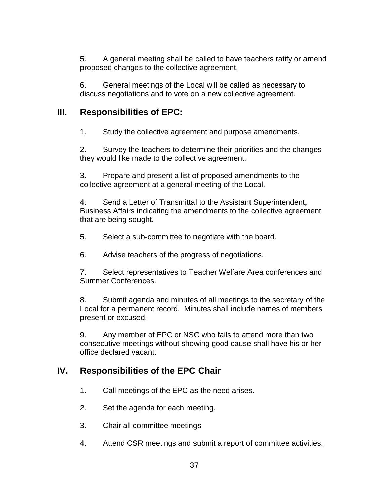5. A general meeting shall be called to have teachers ratify or amend proposed changes to the collective agreement.

6. General meetings of the Local will be called as necessary to discuss negotiations and to vote on a new collective agreement.

### **III. Responsibilities of EPC:**

1. Study the collective agreement and purpose amendments.

2. Survey the teachers to determine their priorities and the changes they would like made to the collective agreement.

3. Prepare and present a list of proposed amendments to the collective agreement at a general meeting of the Local.

4. Send a Letter of Transmittal to the Assistant Superintendent, Business Affairs indicating the amendments to the collective agreement that are being sought.

5. Select a sub-committee to negotiate with the board.

6. Advise teachers of the progress of negotiations.

7. Select representatives to Teacher Welfare Area conferences and Summer Conferences.

8. Submit agenda and minutes of all meetings to the secretary of the Local for a permanent record. Minutes shall include names of members present or excused.

9. Any member of EPC or NSC who fails to attend more than two consecutive meetings without showing good cause shall have his or her office declared vacant.

### **IV. Responsibilities of the EPC Chair**

1. Call meetings of the EPC as the need arises.

- 2. Set the agenda for each meeting.
- 3. Chair all committee meetings
- 4. Attend CSR meetings and submit a report of committee activities.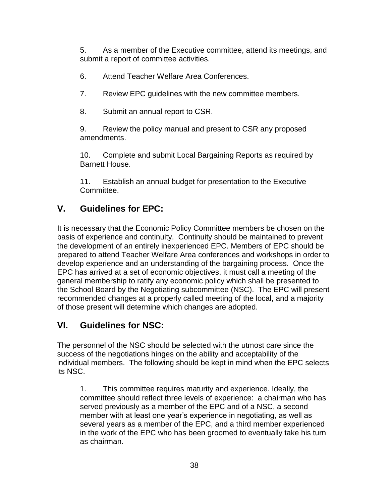5. As a member of the Executive committee, attend its meetings, and submit a report of committee activities.

- 6. Attend Teacher Welfare Area Conferences.
- 7. Review EPC guidelines with the new committee members.
- 8. Submit an annual report to CSR.

9. Review the policy manual and present to CSR any proposed amendments.

10. Complete and submit Local Bargaining Reports as required by Barnett House.

11. Establish an annual budget for presentation to the Executive Committee.

### **V. Guidelines for EPC:**

It is necessary that the Economic Policy Committee members be chosen on the basis of experience and continuity. Continuity should be maintained to prevent the development of an entirely inexperienced EPC. Members of EPC should be prepared to attend Teacher Welfare Area conferences and workshops in order to develop experience and an understanding of the bargaining process. Once the EPC has arrived at a set of economic objectives, it must call a meeting of the general membership to ratify any economic policy which shall be presented to the School Board by the Negotiating subcommittee (NSC). The EPC will present recommended changes at a properly called meeting of the local, and a majority of those present will determine which changes are adopted.

### **VI. Guidelines for NSC:**

The personnel of the NSC should be selected with the utmost care since the success of the negotiations hinges on the ability and acceptability of the individual members. The following should be kept in mind when the EPC selects its NSC.

1. This committee requires maturity and experience. Ideally, the committee should reflect three levels of experience: a chairman who has served previously as a member of the EPC and of a NSC, a second member with at least one year's experience in negotiating, as well as several years as a member of the EPC, and a third member experienced in the work of the EPC who has been groomed to eventually take his turn as chairman.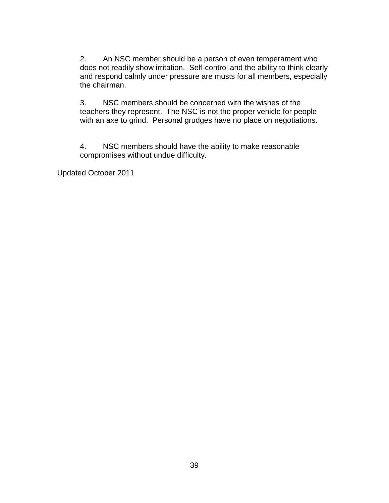2. An NSC member should be a person of even temperament who does not readily show irritation. Self-control and the ability to think clearly and respond calmly under pressure are musts for all members, especially the chairman.

3. NSC members should be concerned with the wishes of the teachers they represent. The NSC is not the proper vehicle for people with an axe to grind. Personal grudges have no place on negotiations.

4. NSC members should have the ability to make reasonable compromises without undue difficulty.

Updated October 2011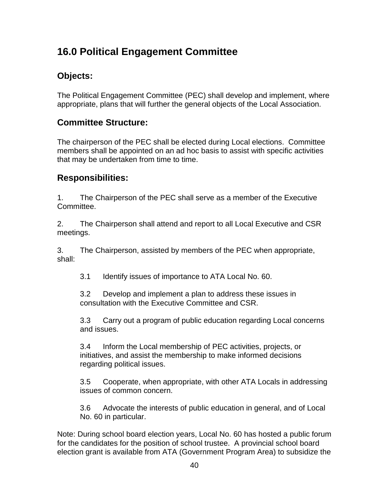# <span id="page-39-0"></span>**16.0 Political Engagement Committee**

### **Objects:**

The Political Engagement Committee (PEC) shall develop and implement, where appropriate, plans that will further the general objects of the Local Association.

### **Committee Structure:**

The chairperson of the PEC shall be elected during Local elections. Committee members shall be appointed on an ad hoc basis to assist with specific activities that may be undertaken from time to time.

### **Responsibilities:**

1. The Chairperson of the PEC shall serve as a member of the Executive Committee.

2. The Chairperson shall attend and report to all Local Executive and CSR meetings.

3. The Chairperson, assisted by members of the PEC when appropriate, shall:

3.1 Identify issues of importance to ATA Local No. 60.

3.2 Develop and implement a plan to address these issues in consultation with the Executive Committee and CSR.

3.3 Carry out a program of public education regarding Local concerns and issues.

3.4 Inform the Local membership of PEC activities, projects, or initiatives, and assist the membership to make informed decisions regarding political issues.

3.5 Cooperate, when appropriate, with other ATA Locals in addressing issues of common concern.

3.6 Advocate the interests of public education in general, and of Local No. 60 in particular.

Note: During school board election years, Local No. 60 has hosted a public forum for the candidates for the position of school trustee. A provincial school board election grant is available from ATA (Government Program Area) to subsidize the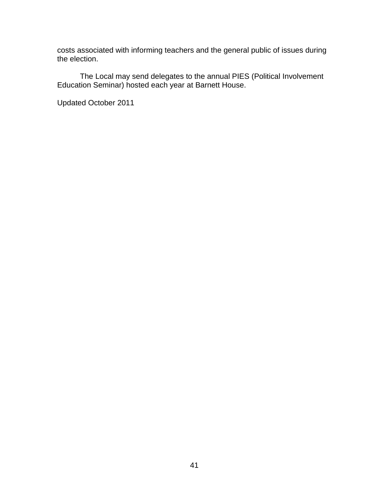costs associated with informing teachers and the general public of issues during the election.

The Local may send delegates to the annual PIES (Political Involvement Education Seminar) hosted each year at Barnett House.

Updated October 2011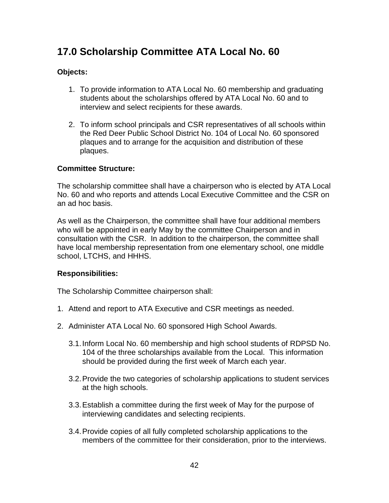# <span id="page-41-0"></span>**17.0 Scholarship Committee ATA Local No. 60**

### **Objects:**

- 1. To provide information to ATA Local No. 60 membership and graduating students about the scholarships offered by ATA Local No. 60 and to interview and select recipients for these awards.
- 2. To inform school principals and CSR representatives of all schools within the Red Deer Public School District No. 104 of Local No. 60 sponsored plaques and to arrange for the acquisition and distribution of these plaques.

#### **Committee Structure:**

The scholarship committee shall have a chairperson who is elected by ATA Local No. 60 and who reports and attends Local Executive Committee and the CSR on an ad hoc basis.

As well as the Chairperson, the committee shall have four additional members who will be appointed in early May by the committee Chairperson and in consultation with the CSR. In addition to the chairperson, the committee shall have local membership representation from one elementary school, one middle school, LTCHS, and HHHS.

#### **Responsibilities:**

The Scholarship Committee chairperson shall:

- 1. Attend and report to ATA Executive and CSR meetings as needed.
- 2. Administer ATA Local No. 60 sponsored High School Awards.
	- 3.1.Inform Local No. 60 membership and high school students of RDPSD No. 104 of the three scholarships available from the Local. This information should be provided during the first week of March each year.
	- 3.2.Provide the two categories of scholarship applications to student services at the high schools.
	- 3.3.Establish a committee during the first week of May for the purpose of interviewing candidates and selecting recipients.
	- 3.4.Provide copies of all fully completed scholarship applications to the members of the committee for their consideration, prior to the interviews.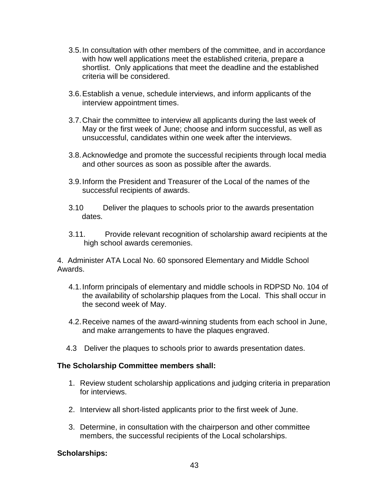- 3.5.In consultation with other members of the committee, and in accordance with how well applications meet the established criteria, prepare a shortlist. Only applications that meet the deadline and the established criteria will be considered.
- 3.6.Establish a venue, schedule interviews, and inform applicants of the interview appointment times.
- 3.7.Chair the committee to interview all applicants during the last week of May or the first week of June; choose and inform successful, as well as unsuccessful, candidates within one week after the interviews.
- 3.8.Acknowledge and promote the successful recipients through local media and other sources as soon as possible after the awards.
- 3.9.Inform the President and Treasurer of the Local of the names of the successful recipients of awards.
- 3.10 Deliver the plaques to schools prior to the awards presentation dates.
- 3.11. Provide relevant recognition of scholarship award recipients at the high school awards ceremonies.

4. Administer ATA Local No. 60 sponsored Elementary and Middle School Awards.

- 4.1.Inform principals of elementary and middle schools in RDPSD No. 104 of the availability of scholarship plaques from the Local. This shall occur in the second week of May.
- 4.2.Receive names of the award-winning students from each school in June, and make arrangements to have the plaques engraved.
- 4.3 Deliver the plaques to schools prior to awards presentation dates.

#### **The Scholarship Committee members shall:**

- 1. Review student scholarship applications and judging criteria in preparation for interviews.
- 2. Interview all short-listed applicants prior to the first week of June.
- 3. Determine, in consultation with the chairperson and other committee members, the successful recipients of the Local scholarships.

### **Scholarships:**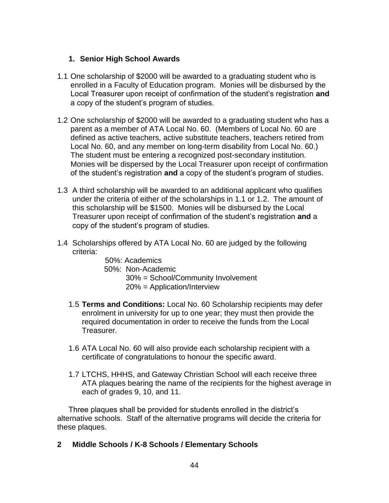#### **1. Senior High School Awards**

- 1.1 One scholarship of \$2000 will be awarded to a graduating student who is enrolled in a Faculty of Education program. Monies will be disbursed by the Local Treasurer upon receipt of confirmation of the student's registration **and** a copy of the student's program of studies.
- 1.2 One scholarship of \$2000 will be awarded to a graduating student who has a parent as a member of ATA Local No. 60. (Members of Local No. 60 are defined as active teachers, active substitute teachers, teachers retired from Local No. 60, and any member on long-term disability from Local No. 60.) The student must be entering a recognized post-secondary institution. Monies will be dispersed by the Local Treasurer upon receipt of confirmation of the student's registration **and** a copy of the student's program of studies.
- 1.3 A third scholarship will be awarded to an additional applicant who qualifies under the criteria of either of the scholarships in 1.1 or 1.2. The amount of this scholarship will be \$1500. Monies will be disbursed by the Local Treasurer upon receipt of confirmation of the student's registration **and** a copy of the student's program of studies.
- 1.4 Scholarships offered by ATA Local No. 60 are judged by the following criteria:
	- 50%: Academics 50%: Non-Academic 30% = School/Community Involvement 20% = Application/Interview
	- 1.5 **Terms and Conditions:** Local No. 60 Scholarship recipients may defer enrolment in university for up to one year; they must then provide the required documentation in order to receive the funds from the Local Treasurer.
	- 1.6 ATA Local No. 60 will also provide each scholarship recipient with a certificate of congratulations to honour the specific award.
	- 1.7 LTCHS, HHHS, and Gateway Christian School will each receive three ATA plaques bearing the name of the recipients for the highest average in each of grades 9, 10, and 11.

Three plaques shall be provided for students enrolled in the district's alternative schools. Staff of the alternative programs will decide the criteria for these plaques.

**2 Middle Schools / K-8 Schools / Elementary Schools**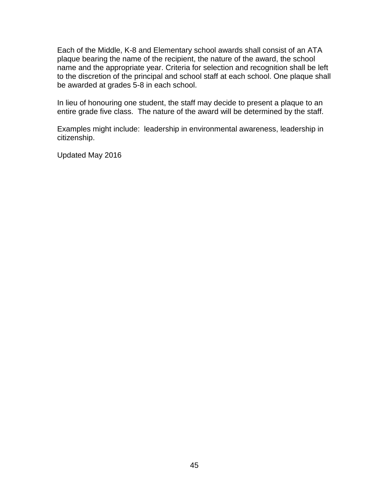Each of the Middle, K-8 and Elementary school awards shall consist of an ATA plaque bearing the name of the recipient, the nature of the award, the school name and the appropriate year. Criteria for selection and recognition shall be left to the discretion of the principal and school staff at each school. One plaque shall be awarded at grades 5-8 in each school.

In lieu of honouring one student, the staff may decide to present a plaque to an entire grade five class. The nature of the award will be determined by the staff.

Examples might include: leadership in environmental awareness, leadership in citizenship.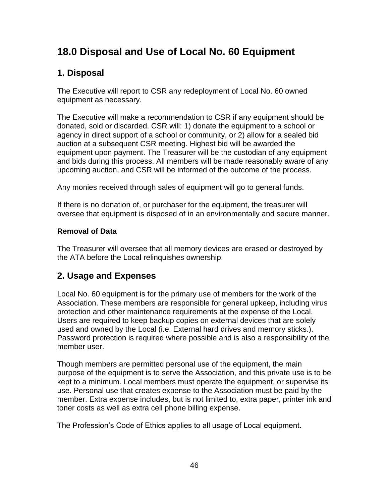# <span id="page-45-0"></span>**18.0 Disposal and Use of Local No. 60 Equipment**

### **1. Disposal**

The Executive will report to CSR any redeployment of Local No. 60 owned equipment as necessary.

The Executive will make a recommendation to CSR if any equipment should be donated, sold or discarded. CSR will: 1) donate the equipment to a school or agency in direct support of a school or community, or 2) allow for a sealed bid auction at a subsequent CSR meeting. Highest bid will be awarded the equipment upon payment. The Treasurer will be the custodian of any equipment and bids during this process. All members will be made reasonably aware of any upcoming auction, and CSR will be informed of the outcome of the process.

Any monies received through sales of equipment will go to general funds.

If there is no donation of, or purchaser for the equipment, the treasurer will oversee that equipment is disposed of in an environmentally and secure manner.

### **Removal of Data**

The Treasurer will oversee that all memory devices are erased or destroyed by the ATA before the Local relinquishes ownership.

### **2. Usage and Expenses**

Local No. 60 equipment is for the primary use of members for the work of the Association. These members are responsible for general upkeep, including virus protection and other maintenance requirements at the expense of the Local. Users are required to keep backup copies on external devices that are solely used and owned by the Local (i.e. External hard drives and memory sticks.). Password protection is required where possible and is also a responsibility of the member user.

Though members are permitted personal use of the equipment, the main purpose of the equipment is to serve the Association, and this private use is to be kept to a minimum. Local members must operate the equipment, or supervise its use. Personal use that creates expense to the Association must be paid by the member. Extra expense includes, but is not limited to, extra paper, printer ink and toner costs as well as extra cell phone billing expense.

The Profession's Code of Ethics applies to all usage of Local equipment.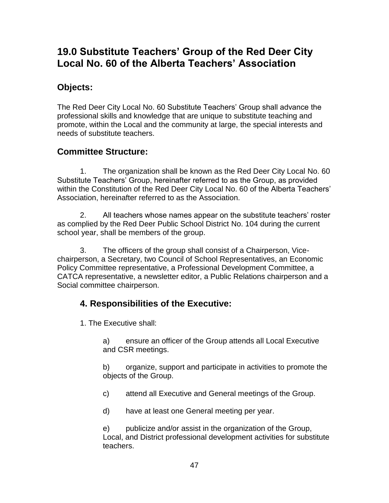# **19.0 Substitute Teachers' Group of the Red Deer City Local No. 60 of the Alberta Teachers' Association**

### **Objects:**

The Red Deer City Local No. 60 Substitute Teachers' Group shall advance the professional skills and knowledge that are unique to substitute teaching and promote, within the Local and the community at large, the special interests and needs of substitute teachers.

### **Committee Structure:**

1. The organization shall be known as the Red Deer City Local No. 60 Substitute Teachers' Group, hereinafter referred to as the Group, as provided within the Constitution of the Red Deer City Local No. 60 of the Alberta Teachers' Association, hereinafter referred to as the Association.

2. All teachers whose names appear on the substitute teachers' roster as complied by the Red Deer Public School District No. 104 during the current school year, shall be members of the group.

3. The officers of the group shall consist of a Chairperson, Vicechairperson, a Secretary, two Council of School Representatives, an Economic Policy Committee representative, a Professional Development Committee, a CATCA representative, a newsletter editor, a Public Relations chairperson and a Social committee chairperson.

### **4. Responsibilities of the Executive:**

1. The Executive shall:

a) ensure an officer of the Group attends all Local Executive and CSR meetings.

b) organize, support and participate in activities to promote the objects of the Group.

c) attend all Executive and General meetings of the Group.

d) have at least one General meeting per year.

e) publicize and/or assist in the organization of the Group, Local, and District professional development activities for substitute teachers.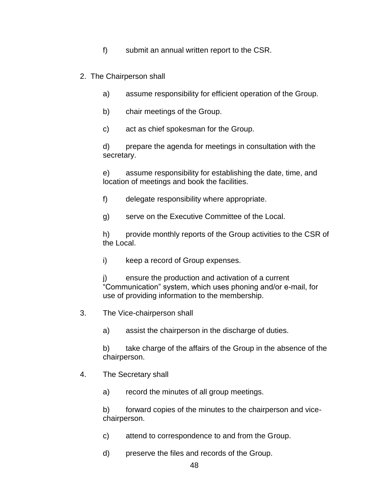- f) submit an annual written report to the CSR.
- 2. The Chairperson shall
	- a) assume responsibility for efficient operation of the Group.
	- b) chair meetings of the Group.
	- c) act as chief spokesman for the Group.

d) prepare the agenda for meetings in consultation with the secretary.

e) assume responsibility for establishing the date, time, and location of meetings and book the facilities.

- f) delegate responsibility where appropriate.
- g) serve on the Executive Committee of the Local.

h) provide monthly reports of the Group activities to the CSR of the Local.

- i) keep a record of Group expenses.
- j) ensure the production and activation of a current "Communication" system, which uses phoning and/or e-mail, for use of providing information to the membership.
- 3. The Vice-chairperson shall

a) assist the chairperson in the discharge of duties.

b) take charge of the affairs of the Group in the absence of the chairperson.

4. The Secretary shall

a) record the minutes of all group meetings.

b) forward copies of the minutes to the chairperson and vicechairperson.

- c) attend to correspondence to and from the Group.
- d) preserve the files and records of the Group.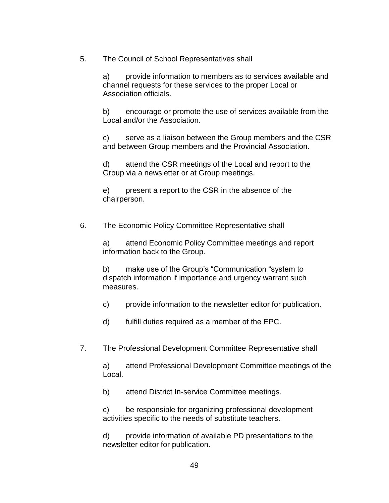5. The Council of School Representatives shall

a) provide information to members as to services available and channel requests for these services to the proper Local or Association officials.

b) encourage or promote the use of services available from the Local and/or the Association.

c) serve as a liaison between the Group members and the CSR and between Group members and the Provincial Association.

d) attend the CSR meetings of the Local and report to the Group via a newsletter or at Group meetings.

e) present a report to the CSR in the absence of the chairperson.

6. The Economic Policy Committee Representative shall

a) attend Economic Policy Committee meetings and report information back to the Group.

b) make use of the Group's "Communication "system to dispatch information if importance and urgency warrant such measures.

c) provide information to the newsletter editor for publication.

d) fulfill duties required as a member of the EPC.

7. The Professional Development Committee Representative shall

a) attend Professional Development Committee meetings of the Local.

b) attend District In-service Committee meetings.

c) be responsible for organizing professional development activities specific to the needs of substitute teachers.

d) provide information of available PD presentations to the newsletter editor for publication.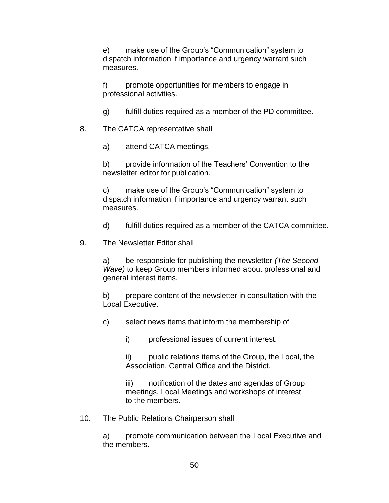e) make use of the Group's "Communication" system to dispatch information if importance and urgency warrant such measures.

f) promote opportunities for members to engage in professional activities.

- g) fulfill duties required as a member of the PD committee.
- 8. The CATCA representative shall
	- a) attend CATCA meetings.

b) provide information of the Teachers' Convention to the newsletter editor for publication.

c) make use of the Group's "Communication" system to dispatch information if importance and urgency warrant such measures.

d) fulfill duties required as a member of the CATCA committee.

9. The Newsletter Editor shall

a) be responsible for publishing the newsletter *(The Second Wave)* to keep Group members informed about professional and general interest items.

b) prepare content of the newsletter in consultation with the Local Executive.

c) select news items that inform the membership of

i) professional issues of current interest.

ii) public relations items of the Group, the Local, the Association, Central Office and the District.

iii) notification of the dates and agendas of Group meetings, Local Meetings and workshops of interest to the members.

10. The Public Relations Chairperson shall

a) promote communication between the Local Executive and the members.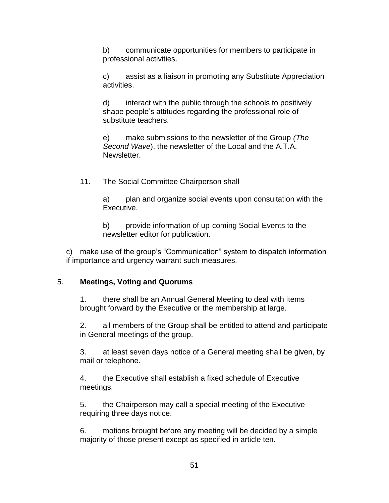b) communicate opportunities for members to participate in professional activities.

c) assist as a liaison in promoting any Substitute Appreciation activities.

d) interact with the public through the schools to positively shape people's attitudes regarding the professional role of substitute teachers.

e) make submissions to the newsletter of the Group *(The Second Wave*), the newsletter of the Local and the A.T.A. Newsletter.

11. The Social Committee Chairperson shall

a) plan and organize social events upon consultation with the Executive.

b) provide information of up-coming Social Events to the newsletter editor for publication.

c) make use of the group's "Communication" system to dispatch information if importance and urgency warrant such measures.

#### 5. **Meetings, Voting and Quorums**

1. there shall be an Annual General Meeting to deal with items brought forward by the Executive or the membership at large.

2. all members of the Group shall be entitled to attend and participate in General meetings of the group.

3. at least seven days notice of a General meeting shall be given, by mail or telephone.

4. the Executive shall establish a fixed schedule of Executive meetings.

5. the Chairperson may call a special meeting of the Executive requiring three days notice.

6. motions brought before any meeting will be decided by a simple majority of those present except as specified in article ten.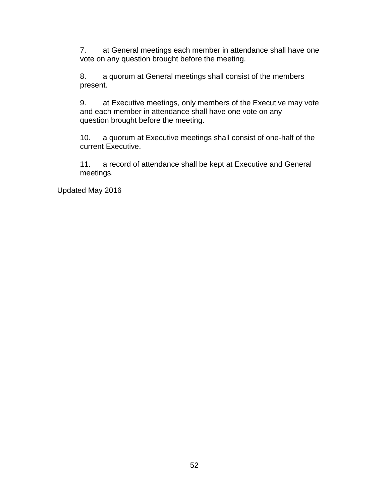7. at General meetings each member in attendance shall have one vote on any question brought before the meeting.

8. a quorum at General meetings shall consist of the members present.

9. at Executive meetings, only members of the Executive may vote and each member in attendance shall have one vote on any question brought before the meeting.

10. a quorum at Executive meetings shall consist of one-half of the current Executive.

11. a record of attendance shall be kept at Executive and General meetings.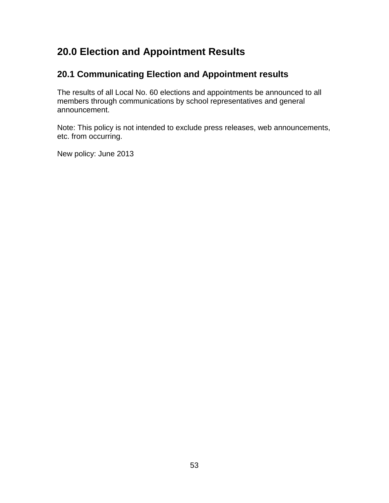# <span id="page-52-0"></span>**20.0 Election and Appointment Results**

### **20.1 Communicating Election and Appointment results**

The results of all Local No. 60 elections and appointments be announced to all members through communications by school representatives and general announcement.

Note: This policy is not intended to exclude press releases, web announcements, etc. from occurring.

New policy: June 2013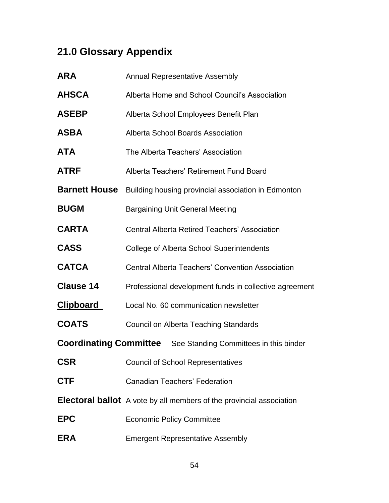# **21.0 Glossary Appendix**

| <b>ARA</b>                                                           | <b>Annual Representative Assembly</b>                                       |  |
|----------------------------------------------------------------------|-----------------------------------------------------------------------------|--|
| <b>AHSCA</b>                                                         | Alberta Home and School Council's Association                               |  |
| <b>ASEBP</b>                                                         | Alberta School Employees Benefit Plan                                       |  |
| ASBA                                                                 | Alberta School Boards Association                                           |  |
| ATA                                                                  | The Alberta Teachers' Association                                           |  |
| ATRF                                                                 | Alberta Teachers' Retirement Fund Board                                     |  |
| <b>Barnett House</b>                                                 | Building housing provincial association in Edmonton                         |  |
| <b>BUGM</b>                                                          | <b>Bargaining Unit General Meeting</b>                                      |  |
| <b>CARTA</b>                                                         | <b>Central Alberta Retired Teachers' Association</b>                        |  |
| <b>CASS</b>                                                          | College of Alberta School Superintendents                                   |  |
| <b>CATCA</b>                                                         | <b>Central Alberta Teachers' Convention Association</b>                     |  |
| <b>Clause 14</b>                                                     | Professional development funds in collective agreement                      |  |
| <u>Clipboard</u>                                                     | Local No. 60 communication newsletter                                       |  |
| <b>COATS</b>                                                         | Council on Alberta Teaching Standards                                       |  |
| <b>Coordinating Committee</b> See Standing Committees in this binder |                                                                             |  |
| <b>CSR</b>                                                           | <b>Council of School Representatives</b>                                    |  |
| <b>CTF</b>                                                           | <b>Canadian Teachers' Federation</b>                                        |  |
|                                                                      | <b>Electoral ballot</b> A vote by all members of the provincial association |  |
| <b>EPC</b>                                                           | <b>Economic Policy Committee</b>                                            |  |
| <b>ERA</b>                                                           | <b>Emergent Representative Assembly</b>                                     |  |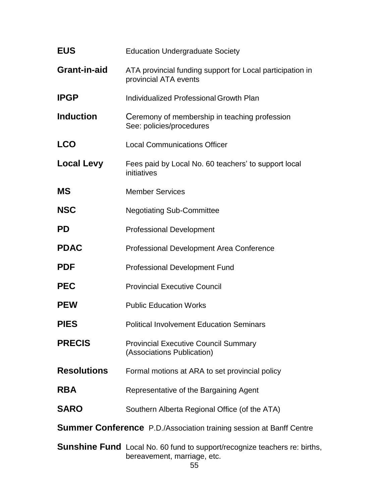| <b>EUS</b>                                                                 | <b>Education Undergraduate Society</b>                                                                          |  |
|----------------------------------------------------------------------------|-----------------------------------------------------------------------------------------------------------------|--|
| <b>Grant-in-aid</b>                                                        | ATA provincial funding support for Local participation in<br>provincial ATA events                              |  |
| <b>IPGP</b>                                                                | Individualized Professional Growth Plan                                                                         |  |
| <b>Induction</b>                                                           | Ceremony of membership in teaching profession<br>See: policies/procedures                                       |  |
| <b>LCO</b>                                                                 | <b>Local Communications Officer</b>                                                                             |  |
| <b>Local Levy</b>                                                          | Fees paid by Local No. 60 teachers' to support local<br>initiatives                                             |  |
| <b>MS</b>                                                                  | <b>Member Services</b>                                                                                          |  |
| <b>NSC</b>                                                                 | <b>Negotiating Sub-Committee</b>                                                                                |  |
| <b>PD</b>                                                                  | <b>Professional Development</b>                                                                                 |  |
| <b>PDAC</b>                                                                | Professional Development Area Conference                                                                        |  |
| <b>PDF</b>                                                                 | <b>Professional Development Fund</b>                                                                            |  |
| <b>PEC</b>                                                                 | <b>Provincial Executive Council</b>                                                                             |  |
| <b>PEW</b>                                                                 | <b>Public Education Works</b>                                                                                   |  |
| <b>PIES</b>                                                                | <b>Political Involvement Education Seminars</b>                                                                 |  |
| <b>PRECIS</b>                                                              | <b>Provincial Executive Council Summary</b><br>(Associations Publication)                                       |  |
| <b>Resolutions</b>                                                         | Formal motions at ARA to set provincial policy                                                                  |  |
| <b>RBA</b>                                                                 | Representative of the Bargaining Agent                                                                          |  |
| <b>SARO</b>                                                                | Southern Alberta Regional Office (of the ATA)                                                                   |  |
| <b>Summer Conference</b> P.D./Association training session at Banff Centre |                                                                                                                 |  |
|                                                                            | <b>Sunshine Fund</b> Local No. 60 fund to support/recognize teachers re: births,<br>bereavement, marriage, etc. |  |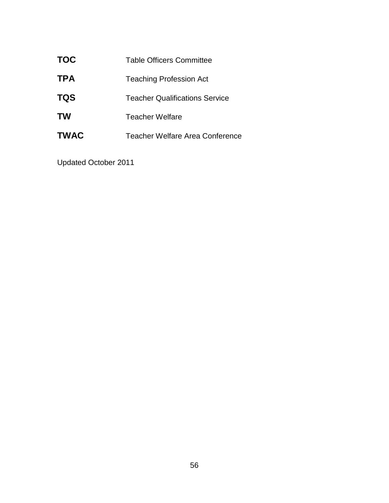| <b>TOC</b>  | <b>Table Officers Committee</b>       |
|-------------|---------------------------------------|
| <b>TPA</b>  | <b>Teaching Profession Act</b>        |
| <b>TQS</b>  | <b>Teacher Qualifications Service</b> |
| <b>TW</b>   | Teacher Welfare                       |
| <b>TWAC</b> | Teacher Welfare Area Conference       |

Updated October 2011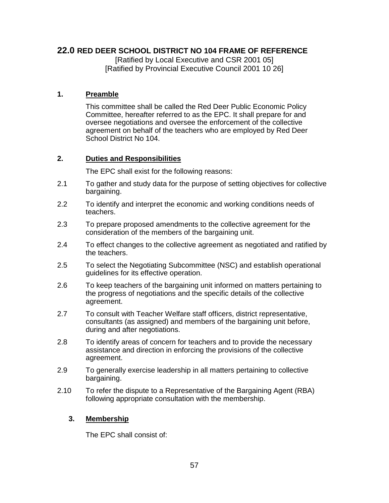### <span id="page-56-0"></span>**22.0 RED DEER SCHOOL DISTRICT NO 104 FRAME OF REFERENCE**

[Ratified by Local Executive and CSR 2001 05] [Ratified by Provincial Executive Council 2001 10 26]

#### **1. Preamble**

This committee shall be called the Red Deer Public Economic Policy Committee, hereafter referred to as the EPC. It shall prepare for and oversee negotiations and oversee the enforcement of the collective agreement on behalf of the teachers who are employed by Red Deer School District No 104.

#### **2. Duties and Responsibilities**

The EPC shall exist for the following reasons:

- 2.1 To gather and study data for the purpose of setting objectives for collective bargaining.
- 2.2 To identify and interpret the economic and working conditions needs of teachers.
- 2.3 To prepare proposed amendments to the collective agreement for the consideration of the members of the bargaining unit.
- 2.4 To effect changes to the collective agreement as negotiated and ratified by the teachers.
- 2.5 To select the Negotiating Subcommittee (NSC) and establish operational guidelines for its effective operation.
- 2.6 To keep teachers of the bargaining unit informed on matters pertaining to the progress of negotiations and the specific details of the collective agreement.
- 2.7 To consult with Teacher Welfare staff officers, district representative, consultants (as assigned) and members of the bargaining unit before, during and after negotiations.
- 2.8 To identify areas of concern for teachers and to provide the necessary assistance and direction in enforcing the provisions of the collective agreement.
- 2.9 To generally exercise leadership in all matters pertaining to collective bargaining.
- 2.10 To refer the dispute to a Representative of the Bargaining Agent (RBA) following appropriate consultation with the membership.

### **3. Membership**

The EPC shall consist of: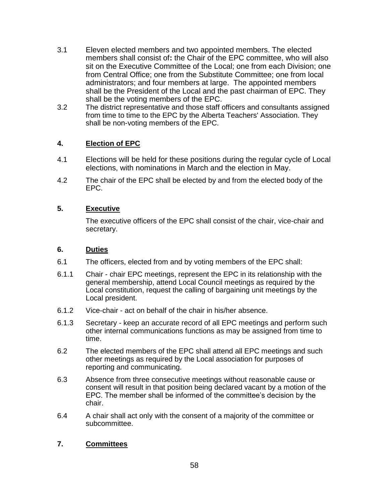- 3.1 Eleven elected members and two appointed members. The elected members shall consist of**:** the Chair of the EPC committee, who will also sit on the Executive Committee of the Local; one from each Division; one from Central Office; one from the Substitute Committee; one from local administrators; and four members at large. The appointed members shall be the President of the Local and the past chairman of EPC. They shall be the voting members of the EPC.
- 3.2 The district representative and those staff officers and consultants assigned from time to time to the EPC by the Alberta Teachers' Association. They shall be non-voting members of the EPC.

#### **4. Election of EPC**

- 4.1 Elections will be held for these positions during the regular cycle of Local elections, with nominations in March and the election in May.
- 4.2 The chair of the EPC shall be elected by and from the elected body of the EPC.

#### **5. Executive**

The executive officers of the EPC shall consist of the chair, vice-chair and secretary.

#### **6. Duties**

- 6.1 The officers, elected from and by voting members of the EPC shall:
- 6.1.1 Chair chair EPC meetings, represent the EPC in its relationship with the general membership, attend Local Council meetings as required by the Local constitution, request the calling of bargaining unit meetings by the Local president.
- 6.1.2 Vice-chair act on behalf of the chair in his/her absence.
- 6.1.3 Secretary keep an accurate record of all EPC meetings and perform such other internal communications functions as may be assigned from time to time.
- 6.2 The elected members of the EPC shall attend all EPC meetings and such other meetings as required by the Local association for purposes of reporting and communicating.
- 6.3 Absence from three consecutive meetings without reasonable cause or consent will result in that position being declared vacant by a motion of the EPC. The member shall be informed of the committee's decision by the chair.
- 6.4 A chair shall act only with the consent of a majority of the committee or subcommittee.

#### **7. Committees**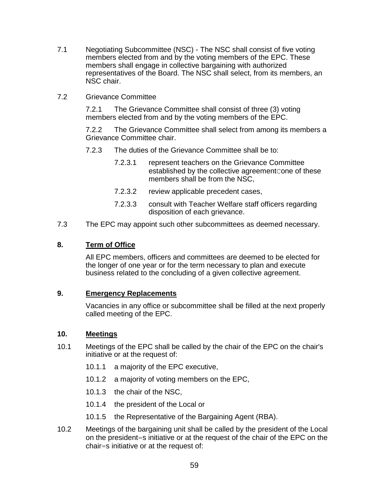- 7.1 Negotiating Subcommittee (NSC) The NSC shall consist of five voting members elected from and by the voting members of the EPC. These members shall engage in collective bargaining with authorized representatives of the Board. The NSC shall select, from its members, an NSC chair.
- 7.2 Grievance Committee

7.2.1 The Grievance Committee shall consist of three (3) voting members elected from and by the voting members of the EPC.

7.2.2 The Grievance Committee shall select from among its members a Grievance Committee chair.

- 7.2.3 The duties of the Grievance Committee shall be to:
	- 7.2.3.1 represent teachers on the Grievance Committee established by the collective agreement cone of these members shall be from the NSC,
	- 7.2.3.2 review applicable precedent cases,
	- 7.2.3.3 consult with Teacher Welfare staff officers regarding disposition of each grievance.
- 7.3 The EPC may appoint such other subcommittees as deemed necessary.

#### **8. Term of Office**

All EPC members, officers and committees are deemed to be elected for the longer of one year or for the term necessary to plan and execute business related to the concluding of a given collective agreement.

#### **9. Emergency Replacements**

Vacancies in any office or subcommittee shall be filled at the next properly called meeting of the EPC.

#### **10. Meetings**

- 10.1 Meetings of the EPC shall be called by the chair of the EPC on the chair's initiative or at the request of:
	- 10.1.1 a majority of the EPC executive,
	- 10.1.2 a majority of voting members on the EPC,
	- 10.1.3 the chair of the NSC,
	- 10.1.4 the president of the Local or
	- 10.1.5 the Representative of the Bargaining Agent (RBA).
- 10.2 Meetings of the bargaining unit shall be called by the president of the Local on the president=s initiative or at the request of the chair of the EPC on the chair=s initiative or at the request of: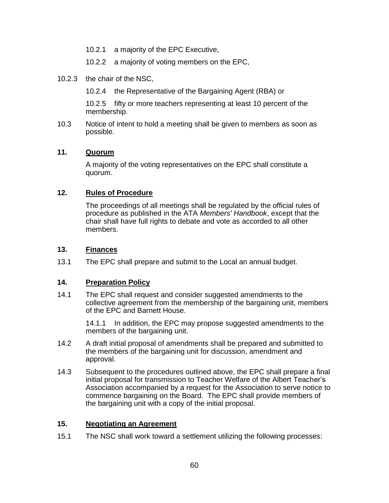- 10.2.1 a majority of the EPC Executive,
- 10.2.2 a majority of voting members on the EPC,
- 10.2.3 the chair of the NSC,
	- 10.2.4 the Representative of the Bargaining Agent (RBA) or

10.2.5 fifty or more teachers representing at least 10 percent of the membership.

10.3 Notice of intent to hold a meeting shall be given to members as soon as possible.

#### **11. Quorum**

A majority of the voting representatives on the EPC shall constitute a quorum.

#### **12. Rules of Procedure**

The proceedings of all meetings shall be regulated by the official rules of procedure as published in the ATA *Members' Handbook*, except that the chair shall have full rights to debate and vote as accorded to all other members.

#### **13. Finances**

13.1 The EPC shall prepare and submit to the Local an annual budget.

#### **14. Preparation Policy**

14.1 The EPC shall request and consider suggested amendments to the collective agreement from the membership of the bargaining unit, members of the EPC and Barnett House.

> 14.1.1 In addition, the EPC may propose suggested amendments to the members of the bargaining unit.

- 14.2 A draft initial proposal of amendments shall be prepared and submitted to the members of the bargaining unit for discussion, amendment and approval.
- 14.3 Subsequent to the procedures outlined above, the EPC shall prepare a final initial proposal for transmission to Teacher Welfare of the Albert Teacher's Association accompanied by a request for the Association to serve notice to commence bargaining on the Board. The EPC shall provide members of the bargaining unit with a copy of the initial proposal.

#### **15. Negotiating an Agreement**

15.1 The NSC shall work toward a settlement utilizing the following processes: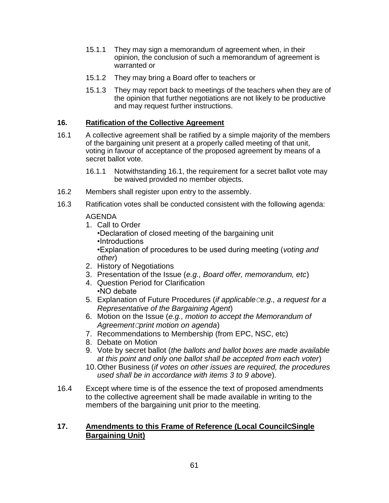- 15.1.1 They may sign a memorandum of agreement when, in their opinion, the conclusion of such a memorandum of agreement is warranted or
- 15.1.2 They may bring a Board offer to teachers or
- 15.1.3 They may report back to meetings of the teachers when they are of the opinion that further negotiations are not likely to be productive and may request further instructions.

#### **16. Ratification of the Collective Agreement**

- 16.1 A collective agreement shall be ratified by a simple majority of the members of the bargaining unit present at a properly called meeting of that unit, voting in favour of acceptance of the proposed agreement by means of a secret ballot vote.
	- 16.1.1 Notwithstanding 16.1, the requirement for a secret ballot vote may be waived provided no member objects.
- 16.2 Members shall register upon entry to the assembly.
- 16.3 Ratification votes shall be conducted consistent with the following agenda:

#### AGENDA

- 1. Call to Order •Declaration of closed meeting of the bargaining unit •Introductions •Explanation of procedures to be used during meeting (*voting and other*)
- 2. History of Negotiations
- 3. Presentation of the Issue (*e.g., Board offer, memorandum, etc*)
- 4. Question Period for Clarification •NO debate
- 5. Explanation of Future Procedures (*if applicableCe.g., a request for a Representative of the Bargaining Agent*)
- 6. Motion on the Issue (*e.g., motion to accept the Memorandum of AgreementCprint motion on agenda*)
- 7. Recommendations to Membership (from EPC, NSC, etc)
- 8. Debate on Motion
- 9. Vote by secret ballot (*the ballots and ballot boxes are made available at this point and only one ballot shall be accepted from each voter*)
- 10.Other Business (*if votes on other issues are required, the procedures used shall be in accordance with items 3 to 9 above*).
- 16.4 Except where time is of the essence the text of proposed amendments to the collective agreement shall be made available in writing to the members of the bargaining unit prior to the meeting.

#### **17. Amendments to this Frame of Reference (Local CouncilCSingle Bargaining Unit)**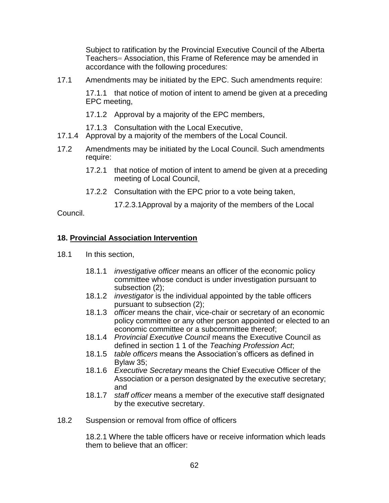Subject to ratification by the Provincial Executive Council of the Alberta Teachers= Association, this Frame of Reference may be amended in accordance with the following procedures:

17.1 Amendments may be initiated by the EPC. Such amendments require:

17.1.1 that notice of motion of intent to amend be given at a preceding EPC meeting,

17.1.2 Approval by a majority of the EPC members,

17.1.3 Consultation with the Local Executive,

- 17.1.4 Approval by a majority of the members of the Local Council.
- 17.2 Amendments may be initiated by the Local Council. Such amendments require:
	- 17.2.1 that notice of motion of intent to amend be given at a preceding meeting of Local Council,
	- 17.2.2 Consultation with the EPC prior to a vote being taken,
		- 17.2.3.1Approval by a majority of the members of the Local

Council.

### **18. Provincial Association Intervention**

- 18.1 In this section,
	- 18.1.1 *investigative officer* means an officer of the economic policy committee whose conduct is under investigation pursuant to subsection (2);
	- 18.1.2 *investigator* is the individual appointed by the table officers pursuant to subsection (2);
	- 18.1.3 *officer* means the chair, vice-chair or secretary of an economic policy committee or any other person appointed or elected to an economic committee or a subcommittee thereof;
	- 18.1.4 *Provincial Executive Council* means the Executive Council as defined in section 1 1 of the *Teaching Profession Act*;
	- 18.1.5 *table officers* means the Association's officers as defined in Bylaw 35;
	- 18.1.6 *Executive Secretary* means the Chief Executive Officer of the Association or a person designated by the executive secretary; and
	- 18.1.7 *staff officer* means a member of the executive staff designated by the executive secretary.
- 18.2 Suspension or removal from office of officers

18.2.1 Where the table officers have or receive information which leads them to believe that an officer: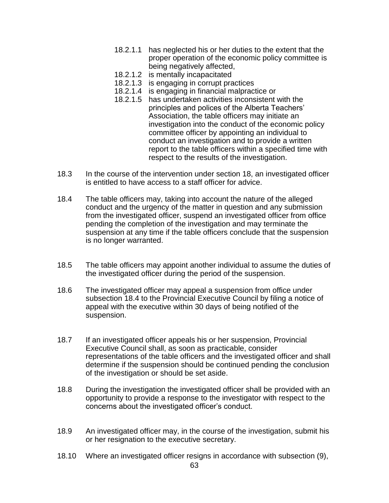- 18.2.1.1 has neglected his or her duties to the extent that the proper operation of the economic policy committee is being negatively affected,
- 18.2.1.2 is mentally incapacitated
- 18.2.1.3 is engaging in corrupt practices
- 18.2.1.4 is engaging in financial malpractice or
- 18.2.1.5 has undertaken activities inconsistent with the principles and polices of the Alberta Teachers' Association, the table officers may initiate an investigation into the conduct of the economic policy committee officer by appointing an individual to conduct an investigation and to provide a written report to the table officers within a specified time with respect to the results of the investigation.
- 18.3 In the course of the intervention under section 18, an investigated officer is entitled to have access to a staff officer for advice.
- 18.4 The table officers may, taking into account the nature of the alleged conduct and the urgency of the matter in question and any submission from the investigated officer, suspend an investigated officer from office pending the completion of the investigation and may terminate the suspension at any time if the table officers conclude that the suspension is no longer warranted.
- 18.5 The table officers may appoint another individual to assume the duties of the investigated officer during the period of the suspension.
- 18.6 The investigated officer may appeal a suspension from office under subsection 18.4 to the Provincial Executive Council by filing a notice of appeal with the executive within 30 days of being notified of the suspension.
- 18.7 If an investigated officer appeals his or her suspension, Provincial Executive Council shall, as soon as practicable, consider representations of the table officers and the investigated officer and shall determine if the suspension should be continued pending the conclusion of the investigation or should be set aside.
- 18.8 During the investigation the investigated officer shall be provided with an opportunity to provide a response to the investigator with respect to the concerns about the investigated officer's conduct.
- 18.9 An investigated officer may, in the course of the investigation, submit his or her resignation to the executive secretary.
- 18.10 Where an investigated officer resigns in accordance with subsection (9),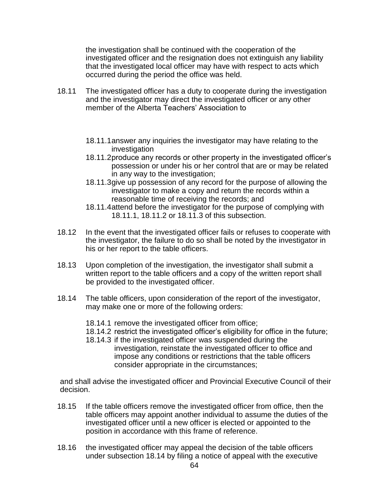the investigation shall be continued with the cooperation of the investigated officer and the resignation does not extinguish any liability that the investigated local officer may have with respect to acts which occurred during the period the office was held.

- 18.11 The investigated officer has a duty to cooperate during the investigation and the investigator may direct the investigated officer or any other member of the Alberta Teachers' Association to
	- 18.11.1answer any inquiries the investigator may have relating to the investigation
	- 18.11.2produce any records or other property in the investigated officer's possession or under his or her control that are or may be related in any way to the investigation;
	- 18.11.3give up possession of any record for the purpose of allowing the investigator to make a copy and return the records within a reasonable time of receiving the records; and
	- 18.11.4attend before the investigator for the purpose of complying with 18.11.1, 18.11.2 or 18.11.3 of this subsection.
- 18.12 In the event that the investigated officer fails or refuses to cooperate with the investigator, the failure to do so shall be noted by the investigator in his or her report to the table officers.
- 18.13 Upon completion of the investigation, the investigator shall submit a written report to the table officers and a copy of the written report shall be provided to the investigated officer.
- 18.14 The table officers, upon consideration of the report of the investigator, may make one or more of the following orders:
	- 18.14.1 remove the investigated officer from office;
	- 18.14.2 restrict the investigated officer's eligibility for office in the future;
	- 18.14.3 if the investigated officer was suspended during the investigation, reinstate the investigated officer to office and impose any conditions or restrictions that the table officers consider appropriate in the circumstances;

and shall advise the investigated officer and Provincial Executive Council of their decision.

- 18.15 If the table officers remove the investigated officer from office, then the table officers may appoint another individual to assume the duties of the investigated officer until a new officer is elected or appointed to the position in accordance with this frame of reference.
- 18.16 the investigated officer may appeal the decision of the table officers under subsection 18.14 by filing a notice of appeal with the executive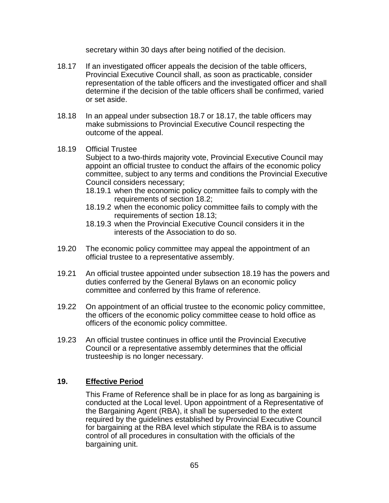secretary within 30 days after being notified of the decision.

- 18.17 If an investigated officer appeals the decision of the table officers, Provincial Executive Council shall, as soon as practicable, consider representation of the table officers and the investigated officer and shall determine if the decision of the table officers shall be confirmed, varied or set aside.
- 18.18 In an appeal under subsection 18.7 or 18.17, the table officers may make submissions to Provincial Executive Council respecting the outcome of the appeal.

#### 18.19 Official Trustee

Subject to a two-thirds majority vote, Provincial Executive Council may appoint an official trustee to conduct the affairs of the economic policy committee, subject to any terms and conditions the Provincial Executive Council considers necessary;

- 18.19.1 when the economic policy committee fails to comply with the requirements of section 18.2;
- 18.19.2 when the economic policy committee fails to comply with the requirements of section 18.13;
- 18.19.3 when the Provincial Executive Council considers it in the interests of the Association to do so.
- 19.20 The economic policy committee may appeal the appointment of an official trustee to a representative assembly.
- 19.21 An official trustee appointed under subsection 18.19 has the powers and duties conferred by the General Bylaws on an economic policy committee and conferred by this frame of reference.
- 19.22 On appointment of an official trustee to the economic policy committee, the officers of the economic policy committee cease to hold office as officers of the economic policy committee.
- 19.23 An official trustee continues in office until the Provincial Executive Council or a representative assembly determines that the official trusteeship is no longer necessary.

#### **19. Effective Period**

This Frame of Reference shall be in place for as long as bargaining is conducted at the Local level. Upon appointment of a Representative of the Bargaining Agent (RBA), it shall be superseded to the extent required by the guidelines established by Provincial Executive Council for bargaining at the RBA level which stipulate the RBA is to assume control of all procedures in consultation with the officials of the bargaining unit.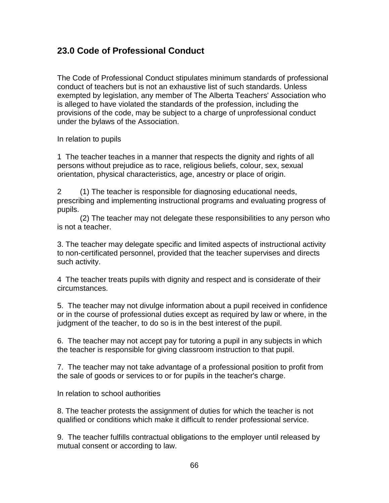### <span id="page-65-0"></span>**23.0 Code of Professional Conduct**

The Code of Professional Conduct stipulates minimum standards of professional conduct of teachers but is not an exhaustive list of such standards. Unless exempted by legislation, any member of The Alberta Teachers' Association who is alleged to have violated the standards of the profession, including the provisions of the code, may be subject to a charge of unprofessional conduct under the bylaws of the Association.

In relation to pupils

1 The teacher teaches in a manner that respects the dignity and rights of all persons without prejudice as to race, religious beliefs, colour, sex, sexual orientation, physical characteristics, age, ancestry or place of origin.

2 (1) The teacher is responsible for diagnosing educational needs, prescribing and implementing instructional programs and evaluating progress of pupils.

(2) The teacher may not delegate these responsibilities to any person who is not a teacher.

3. The teacher may delegate specific and limited aspects of instructional activity to non-certificated personnel, provided that the teacher supervises and directs such activity.

4 The teacher treats pupils with dignity and respect and is considerate of their circumstances.

5. The teacher may not divulge information about a pupil received in confidence or in the course of professional duties except as required by law or where, in the judgment of the teacher, to do so is in the best interest of the pupil.

6. The teacher may not accept pay for tutoring a pupil in any subjects in which the teacher is responsible for giving classroom instruction to that pupil.

7. The teacher may not take advantage of a professional position to profit from the sale of goods or services to or for pupils in the teacher's charge.

In relation to school authorities

8. The teacher protests the assignment of duties for which the teacher is not qualified or conditions which make it difficult to render professional service.

9. The teacher fulfills contractual obligations to the employer until released by mutual consent or according to law.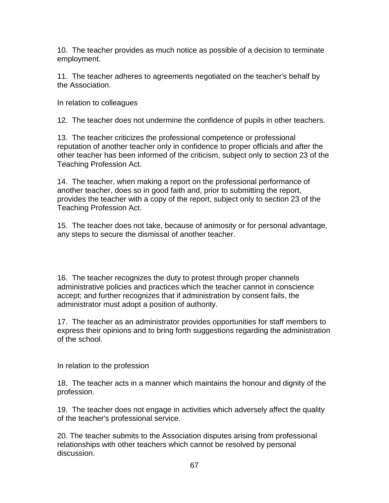10. The teacher provides as much notice as possible of a decision to terminate employment.

11. The teacher adheres to agreements negotiated on the teacher's behalf by the Association.

In relation to colleagues

12. The teacher does not undermine the confidence of pupils in other teachers.

13. The teacher criticizes the professional competence or professional reputation of another teacher only in confidence to proper officials and after the other teacher has been informed of the criticism, subject only to section 23 of the Teaching Profession Act.

14. The teacher, when making a report on the professional performance of another teacher, does so in good faith and, prior to submitting the report, provides the teacher with a copy of the report, subject only to section 23 of the Teaching Profession Act.

15. The teacher does not take, because of animosity or for personal advantage, any steps to secure the dismissal of another teacher.

16. The teacher recognizes the duty to protest through proper channels administrative policies and practices which the teacher cannot in conscience accept; and further recognizes that if administration by consent fails, the administrator must adopt a position of authority.

17. The teacher as an administrator provides opportunities for staff members to express their opinions and to bring forth suggestions regarding the administration of the school.

In relation to the profession

18. The teacher acts in a manner which maintains the honour and dignity of the profession.

19. The teacher does not engage in activities which adversely affect the quality of the teacher's professional service.

20. The teacher submits to the Association disputes arising from professional relationships with other teachers which cannot be resolved by personal discussion.